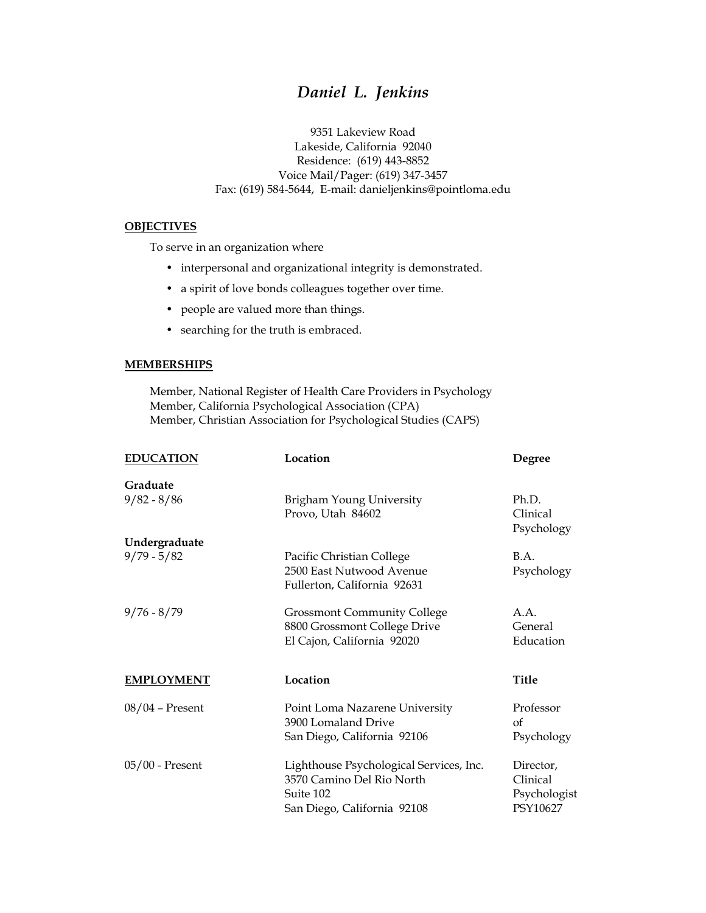# *Daniel L. Jenkins*

9351 Lakeview Road Lakeside, California 92040 Residence: (619) 443-8852 Voice Mail/Pager: (619) 347-3457 Fax: (619) 584-5644, E-mail: danieljenkins@pointloma.edu

#### **OBJECTIVES**

To serve in an organization where

- interpersonal and organizational integrity is demonstrated.
- a spirit of love bonds colleagues together over time.
- people are valued more than things.
- searching for the truth is embraced.

#### **MEMBERSHIPS**

Member, National Register of Health Care Providers in Psychology Member, California Psychological Association (CPA) Member, Christian Association for Psychological Studies (CAPS)

| <b>EDUCATION</b>          | Location                                                                                                         | Degree                                            |
|---------------------------|------------------------------------------------------------------------------------------------------------------|---------------------------------------------------|
| Graduate<br>$9/82 - 8/86$ | Brigham Young University<br>Provo, Utah 84602                                                                    | Ph.D.<br>Clinical                                 |
| Undergraduate             |                                                                                                                  | Psychology                                        |
| $9/79 - 5/82$             | Pacific Christian College<br>2500 East Nutwood Avenue<br>Fullerton, California 92631                             | B.A.<br>Psychology                                |
| $9/76 - 8/79$             | <b>Grossmont Community College</b><br>8800 Grossmont College Drive<br>El Cajon, California 92020                 | A.A.<br>General<br>Education                      |
| <b>EMPLOYMENT</b>         | Location                                                                                                         | <b>Title</b>                                      |
| $08/04$ – Present         | Point Loma Nazarene University<br>3900 Lomaland Drive<br>San Diego, California 92106                             | Professor<br>of<br>Psychology                     |
| 05/00 - Present           | Lighthouse Psychological Services, Inc.<br>3570 Camino Del Rio North<br>Suite 102<br>San Diego, California 92108 | Director,<br>Clinical<br>Psychologist<br>PSY10627 |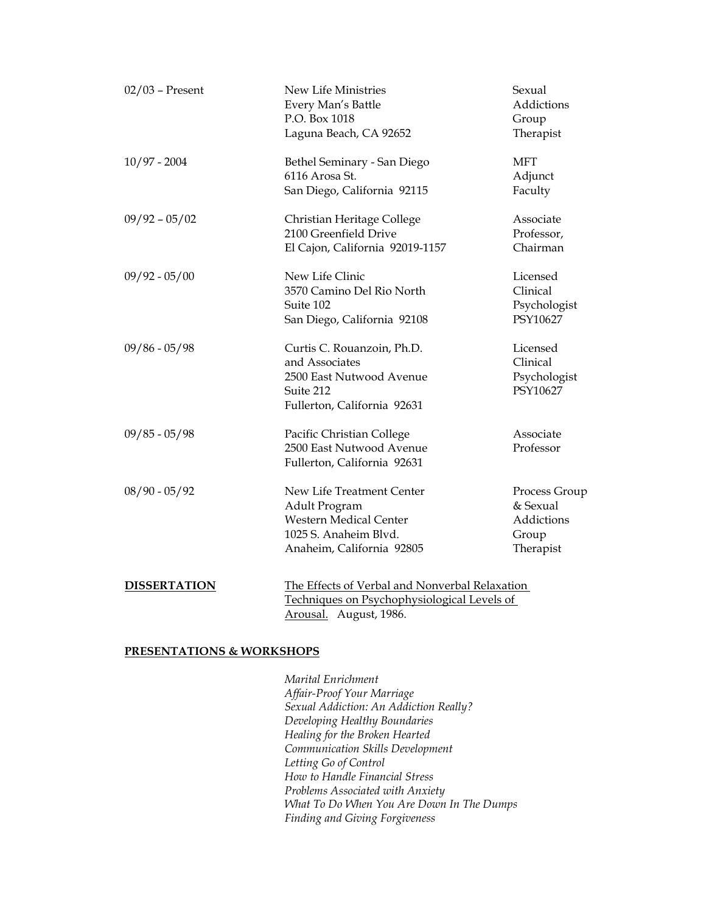| $02/03$ – Present   | New Life Ministries<br>Every Man's Battle<br>P.O. Box 1018<br>Laguna Beach, CA 92652                                              | Sexual<br>Addictions<br>Group<br>Therapist                    |
|---------------------|-----------------------------------------------------------------------------------------------------------------------------------|---------------------------------------------------------------|
| $10/97 - 2004$      | Bethel Seminary - San Diego<br>6116 Arosa St.<br>San Diego, California 92115                                                      | <b>MFT</b><br>Adjunct<br>Faculty                              |
| $09/92 - 05/02$     | Christian Heritage College<br>2100 Greenfield Drive<br>El Cajon, California 92019-1157                                            | Associate<br>Professor,<br>Chairman                           |
| $09/92 - 05/00$     | New Life Clinic<br>3570 Camino Del Rio North<br>Suite 102<br>San Diego, California 92108                                          | Licensed<br>Clinical<br>Psychologist<br>PSY10627              |
| $09/86 - 05/98$     | Curtis C. Rouanzoin, Ph.D.<br>and Associates<br>2500 East Nutwood Avenue<br>Suite 212<br>Fullerton, California 92631              | Licensed<br>Clinical<br>Psychologist<br>PSY10627              |
| $09/85 - 05/98$     | Pacific Christian College<br>2500 East Nutwood Avenue<br>Fullerton, California 92631                                              | Associate<br>Professor                                        |
| $08/90 - 05/92$     | New Life Treatment Center<br>Adult Program<br><b>Western Medical Center</b><br>1025 S. Anaheim Blvd.<br>Anaheim, California 92805 | Process Group<br>& Sexual<br>Addictions<br>Group<br>Therapist |
| <b>DISSERTATION</b> | The Effects of Verbal and Nonverbal Relaxation<br>Techniques on Psychophysiological Levels of<br>Arousal. August, 1986.           |                                                               |

#### **PRESENTATIONS & WORKSHOPS**

*Marital Enrichment Affair-Proof Your Marriage Sexual Addiction: An Addiction Really? Developing Healthy Boundaries Healing for the Broken Hearted Communication Skills Development Letting Go of Control How to Handle Financial Stress Problems Associated with Anxiety What To Do When You Are Down In The Dumps Finding and Giving Forgiveness*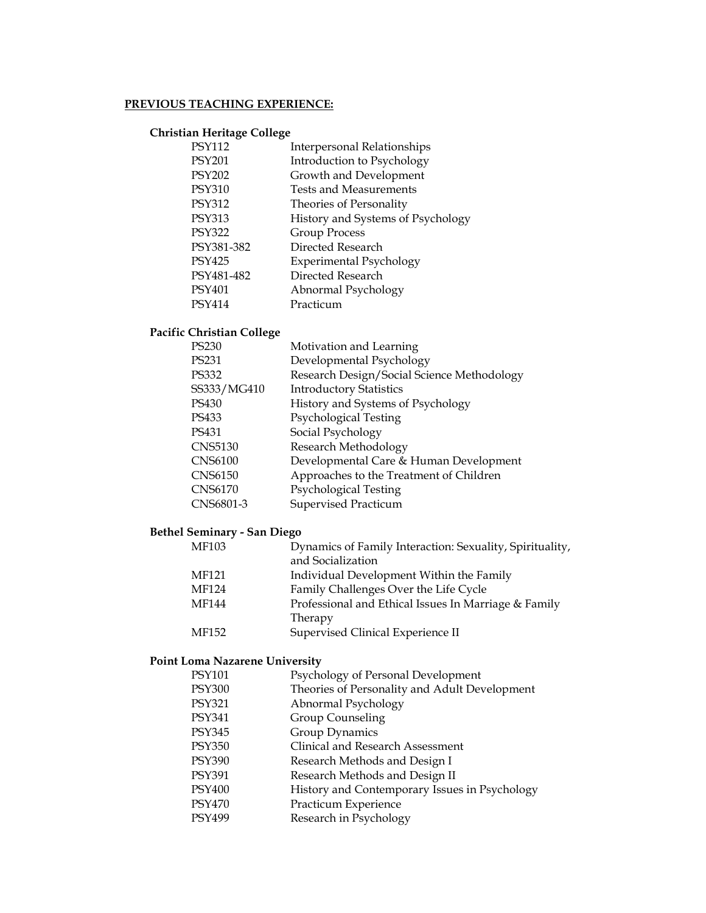## **PREVIOUS TEACHING EXPERIENCE:**

#### **Christian Heritage College**

| <b>PSY112</b> | <b>Interpersonal Relationships</b> |
|---------------|------------------------------------|
| <b>PSY201</b> | Introduction to Psychology         |
| <b>PSY202</b> | Growth and Development             |
| <b>PSY310</b> | Tests and Measurements             |
| <b>PSY312</b> | Theories of Personality            |
| <b>PSY313</b> | History and Systems of Psychology  |
| <b>PSY322</b> | Group Process                      |
| PSY381-382    | Directed Research                  |
| <b>PSY425</b> | <b>Experimental Psychology</b>     |
| PSY481-482    | Directed Research                  |
| PSY401        | Abnormal Psychology                |
| PSY414        | Practicum                          |
|               |                                    |

# **Pacific Christian College**

| PS230          | Motivation and Learning                    |
|----------------|--------------------------------------------|
| PS231          | Developmental Psychology                   |
| PS332          | Research Design/Social Science Methodology |
| SS333/MG410    | <b>Introductory Statistics</b>             |
| PS430          | History and Systems of Psychology          |
| PS433          | Psychological Testing                      |
| PS431          | Social Psychology                          |
| CNS5130        | Research Methodology                       |
| <b>CNS6100</b> | Developmental Care & Human Development     |
| CNS6150        | Approaches to the Treatment of Children    |
| CNS6170        | Psychological Testing                      |
| CNS6801-3      | Supervised Practicum                       |
|                |                                            |

# **Bethel Seminary - San Diego**

| MF103 | Dynamics of Family Interaction: Sexuality, Spirituality, |
|-------|----------------------------------------------------------|
|       | and Socialization                                        |
| MF121 | Individual Development Within the Family                 |
| MF124 | Family Challenges Over the Life Cycle                    |
| MF144 | Professional and Ethical Issues In Marriage & Family     |
|       | Therapy                                                  |
| MF152 | Supervised Clinical Experience II                        |
|       |                                                          |

# **Point Loma Nazarene University**

| PSY101 | Psychology of Personal Development            |
|--------|-----------------------------------------------|
| PSY300 | Theories of Personality and Adult Development |
| PSY321 | Abnormal Psychology                           |
| PSY341 | Group Counseling                              |
| PSY345 | Group Dynamics                                |
| PSY350 | Clinical and Research Assessment              |
| PSY390 | Research Methods and Design I                 |
| PSY391 | Research Methods and Design II                |
| PSY400 | History and Contemporary Issues in Psychology |
| PSY470 | Practicum Experience                          |
| PSY499 | Research in Psychology                        |
|        |                                               |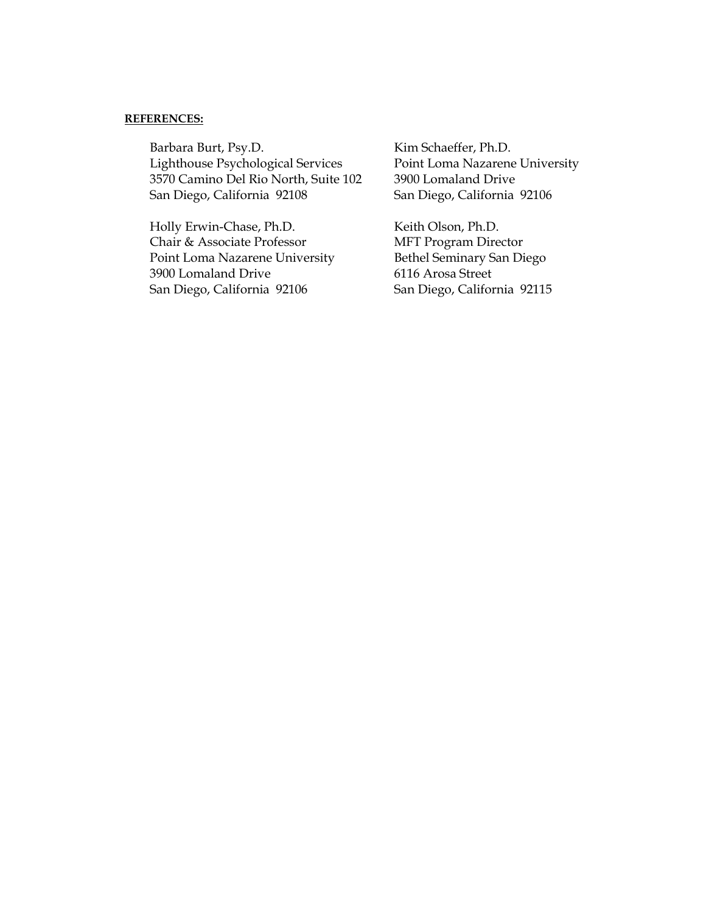#### **REFERENCES:**

Barbara Burt, Psy.D. Kim Schaeffer, Ph.D. Lighthouse Psychological Services Point Loma Nazarene University 3570 Camino Del Rio North, Suite 102 3900 Lomaland Drive San Diego, California 92108 San Diego, California 92106

Holly Erwin-Chase, Ph.D. Keith Olson, Ph.D. Chair & Associate Professor MFT Program Director Point Loma Nazarene University Bethel Seminary San Diego 3900 Lomaland Drive 6116 Arosa Street San Diego, California 92106 San Diego, California 92115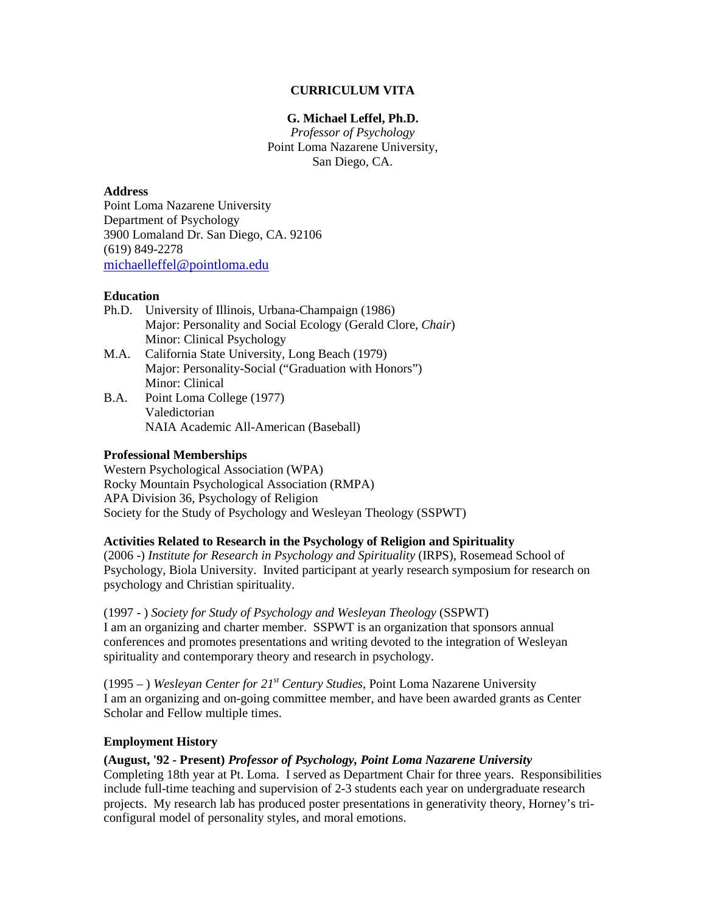#### **CURRICULUM VITA**

#### **G. Michael Leffel, Ph.D.**

*Professor of Psychology*  Point Loma Nazarene University, San Diego, CA.

#### **Address**

Point Loma Nazarene University Department of Psychology 3900 Lomaland Dr. San Diego, CA. 92106 (619) 849-2278 [michaelleffel@pointloma.edu](mailto:michaelleffel@pointloma.edu)

#### **Education**

- Ph.D. University of Illinois, Urbana-Champaign (1986) Major: Personality and Social Ecology (Gerald Clore, *Chair*) Minor: Clinical Psychology
- M.A. California State University, Long Beach (1979) Major: Personality-Social ("Graduation with Honors") Minor: Clinical
- B.A. Point Loma College (1977) Valedictorian NAIA Academic All-American (Baseball)

#### **Professional Memberships**

Western Psychological Association (WPA) Rocky Mountain Psychological Association (RMPA) APA Division 36, Psychology of Religion Society for the Study of Psychology and Wesleyan Theology (SSPWT)

#### **Activities Related to Research in the Psychology of Religion and Spirituality**

(2006 -) *Institute for Research in Psychology and Spirituality* (IRPS), Rosemead School of Psychology, Biola University. Invited participant at yearly research symposium for research on psychology and Christian spirituality.

(1997 - ) *Society for Study of Psychology and Wesleyan Theology* (SSPWT) I am an organizing and charter member. SSPWT is an organization that sponsors annual conferences and promotes presentations and writing devoted to the integration of Wesleyan spirituality and contemporary theory and research in psychology.

(1995 – ) *Wesleyan Center for 21st Century Studies*, Point Loma Nazarene University I am an organizing and on-going committee member, and have been awarded grants as Center Scholar and Fellow multiple times.

#### **Employment History**

#### **(August, '92 - Present)** *Professor of Psychology, Point Loma Nazarene University*

Completing 18th year at Pt. Loma. I served as Department Chair for three years. Responsibilities include full-time teaching and supervision of 2-3 students each year on undergraduate research projects. My research lab has produced poster presentations in generativity theory, Horney's triconfigural model of personality styles, and moral emotions.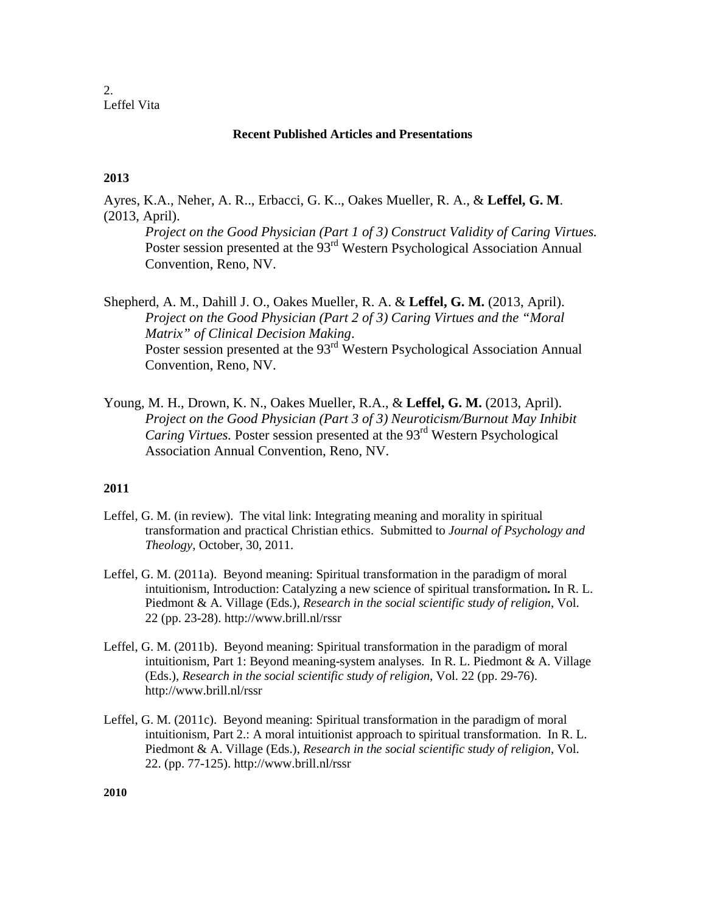2. Leffel Vita

#### **Recent Published Articles and Presentations**

## **2013**

Ayres, K.A., Neher, A. R.., Erbacci, G. K.., Oakes Mueller, R. A., & **Leffel, G. M**. (2013, April).

*Project on the Good Physician (Part 1 of 3) Construct Validity of Caring Virtues.* Poster session presented at the 93<sup>rd</sup> Western Psychological Association Annual Convention, Reno, NV.

Shepherd, A. M., Dahill J. O., Oakes Mueller, R. A. & **Leffel, G. M.** (2013, April). *Project on the Good Physician (Part 2 of 3) Caring Virtues and the "Moral Matrix" of Clinical Decision Making*. Poster session presented at the 93<sup>rd</sup> Western Psychological Association Annual Convention, Reno, NV.

Young, M. H., Drown, K. N., Oakes Mueller, R.A., & **Leffel, G. M.** (2013, April). *Project on the Good Physician (Part 3 of 3) Neuroticism/Burnout May Inhibit Caring Virtues.* Poster session presented at the 93<sup>rd</sup> Western Psychological Association Annual Convention, Reno, NV.

#### **2011**

- Leffel, G. M. (in review). The vital link: Integrating meaning and morality in spiritual transformation and practical Christian ethics. Submitted to *Journal of Psychology and Theology*, October, 30, 2011.
- Leffel, G. M. (2011a). Beyond meaning: Spiritual transformation in the paradigm of moral intuitionism, Introduction: Catalyzing a new science of spiritual transformation**.** In R. L. Piedmont & A. Village (Eds.), *Research in the social scientific study of religion*, Vol. 22 (pp. 23-28). http://www.brill.nl/rssr
- Leffel, G. M. (2011b). Beyond meaning: Spiritual transformation in the paradigm of moral intuitionism, Part 1: Beyond meaning-system analyses. In R. L. Piedmont & A. Village (Eds.), *Research in the social scientific study of religion*, Vol. 22 (pp. 29-76). http://www.brill.nl/rssr
- Leffel, G. M. (2011c). Beyond meaning: Spiritual transformation in the paradigm of moral intuitionism, Part 2.: A moral intuitionist approach to spiritual transformation. In R. L. Piedmont & A. Village (Eds.), *Research in the social scientific study of religion*, Vol. 22. (pp. 77-125). http://www.brill.nl/rssr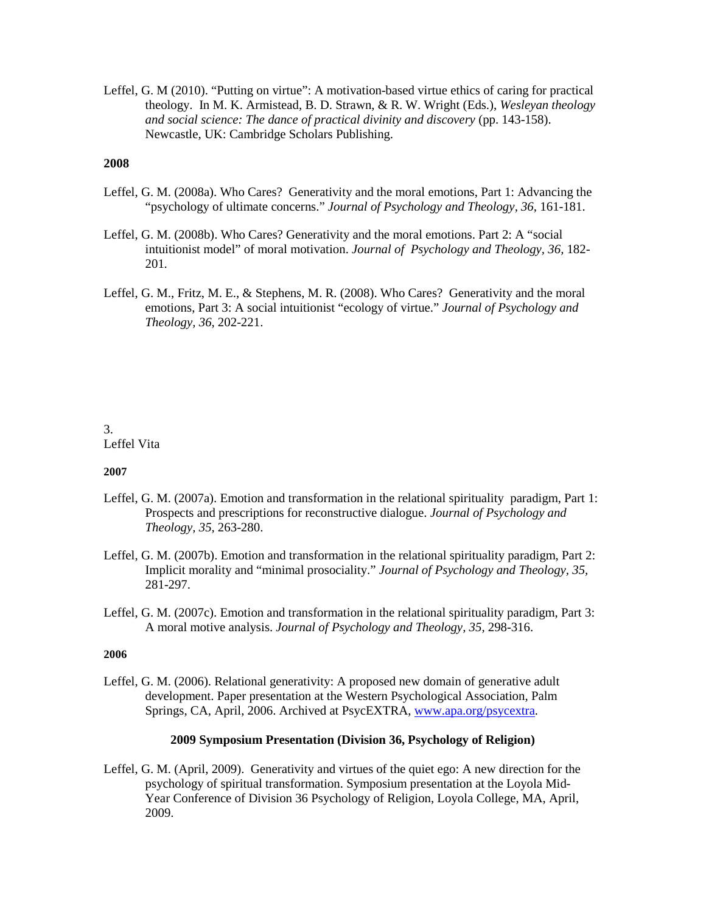Leffel, G. M (2010). "Putting on virtue": A motivation-based virtue ethics of caring for practical theology. In M. K. Armistead, B. D. Strawn, & R. W. Wright (Eds.), *Wesleyan theology and social science: The dance of practical divinity and discovery* (pp. 143-158). Newcastle, UK: Cambridge Scholars Publishing.

#### **2008**

- Leffel, G. M. (2008a). Who Cares? Generativity and the moral emotions, Part 1: Advancing the "psychology of ultimate concerns." *Journal of Psychology and Theology, 36,* 161-181.
- Leffel, G. M. (2008b). Who Cares? Generativity and the moral emotions. Part 2: A "social intuitionist model" of moral motivation. *Journal of Psychology and Theology, 36,* 182- 201*.*
- Leffel, G. M., Fritz, M. E., & Stephens, M. R. (2008). Who Cares? Generativity and the moral emotions, Part 3: A social intuitionist "ecology of virtue." *Journal of Psychology and Theology, 36,* 202-221.

### 3. Leffel Vita

#### **2007**

- Leffel, G. M. (2007a). Emotion and transformation in the relational spirituality paradigm, Part 1: Prospects and prescriptions for reconstructive dialogue. *Journal of Psychology and Theology, 35,* 263-280.
- Leffel, G. M. (2007b). Emotion and transformation in the relational spirituality paradigm, Part 2: Implicit morality and "minimal prosociality." *Journal of Psychology and Theology, 35,* 281-297.
- Leffel, G. M. (2007c). Emotion and transformation in the relational spirituality paradigm, Part 3: A moral motive analysis. *Journal of Psychology and Theology, 35,* 298-316.

#### **2006**

Leffel, G. M. (2006). Relational generativity: A proposed new domain of generative adult development. Paper presentation at the Western Psychological Association, Palm Springs, CA, April, 2006. Archived at PsycEXTRA, [www.apa.org/psycextra.](http://www.apa.org/psycextra)

#### **2009 Symposium Presentation (Division 36, Psychology of Religion)**

Leffel, G. M. (April, 2009). Generativity and virtues of the quiet ego: A new direction for the psychology of spiritual transformation. Symposium presentation at the Loyola Mid-Year Conference of Division 36 Psychology of Religion, Loyola College, MA, April, 2009.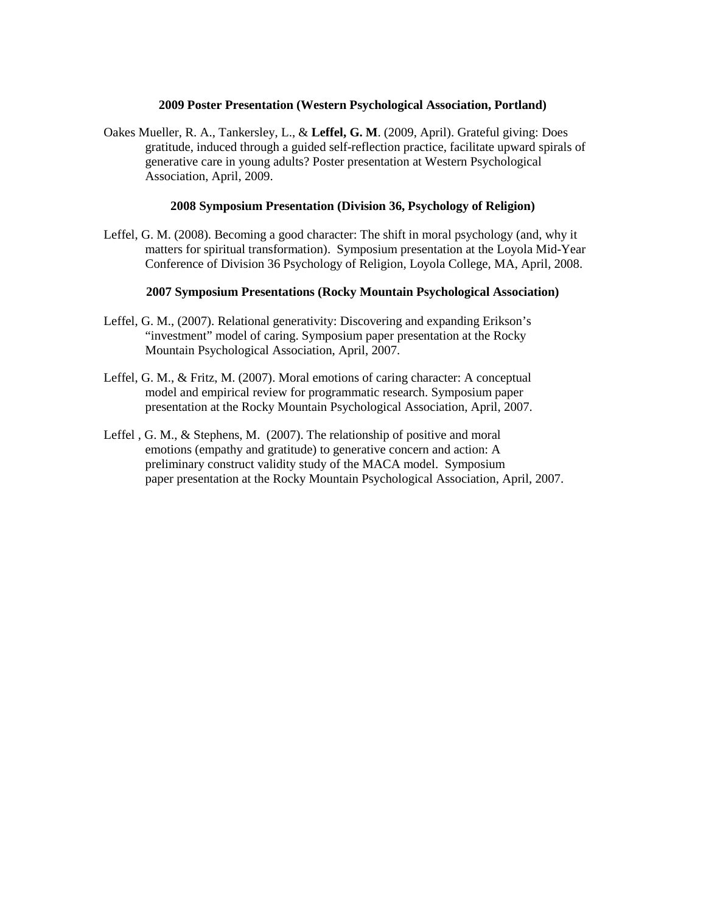#### **2009 Poster Presentation (Western Psychological Association, Portland)**

Oakes Mueller, R. A., Tankersley, L., & **Leffel, G. M**. (2009, April). Grateful giving: Does gratitude, induced through a guided self-reflection practice, facilitate upward spirals of generative care in young adults? Poster presentation at Western Psychological Association, April, 2009.

#### **2008 Symposium Presentation (Division 36, Psychology of Religion)**

Leffel, G. M. (2008). Becoming a good character: The shift in moral psychology (and, why it matters for spiritual transformation). Symposium presentation at the Loyola Mid-Year Conference of Division 36 Psychology of Religion, Loyola College, MA, April, 2008.

#### **2007 Symposium Presentations (Rocky Mountain Psychological Association)**

- Leffel, G. M., (2007). Relational generativity: Discovering and expanding Erikson's "investment" model of caring. Symposium paper presentation at the Rocky Mountain Psychological Association, April, 2007.
- Leffel, G. M., & Fritz, M. (2007). Moral emotions of caring character: A conceptual model and empirical review for programmatic research. Symposium paper presentation at the Rocky Mountain Psychological Association, April, 2007.
- Leffel , G. M., & Stephens, M. (2007). The relationship of positive and moral emotions (empathy and gratitude) to generative concern and action: A preliminary construct validity study of the MACA model. Symposium paper presentation at the Rocky Mountain Psychological Association, April, 2007.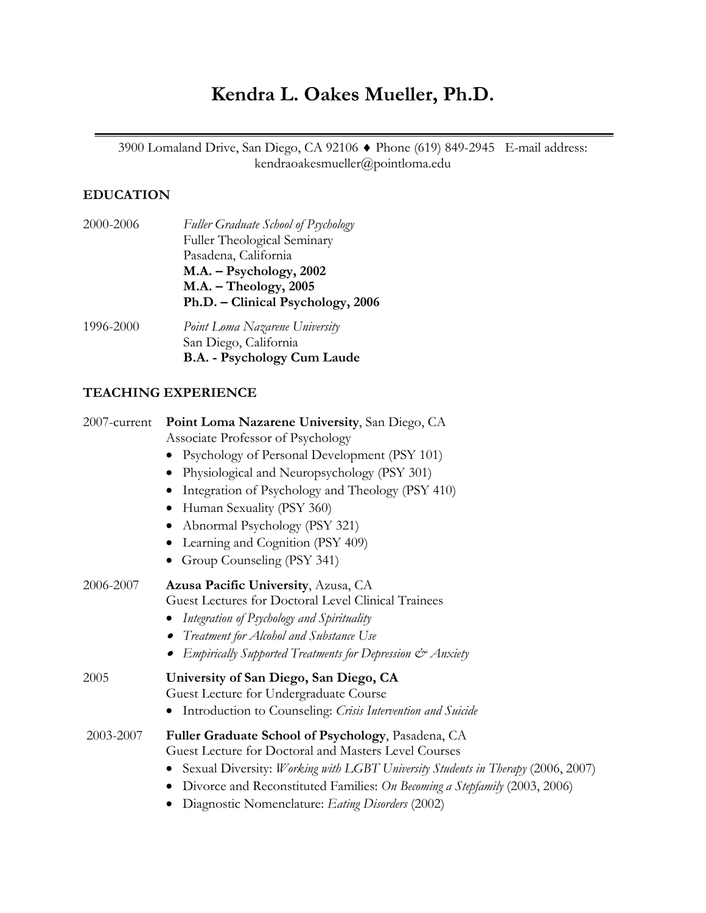# **Kendra L. Oakes Mueller, Ph.D.**

3900 Lomaland Drive, San Diego, CA 92106 ♦ Phone (619) 849-2945 E-mail address: kendraoakesmueller@pointloma.edu

# **EDUCATION**

| 2000-2006 | Fuller Graduate School of Psychology |
|-----------|--------------------------------------|
|           | Fuller Theological Seminary          |
|           | Pasadena, California                 |
|           | $M.A. - Psychology, 2002$            |
|           | $M.A. - Theology, 2005$              |
|           | Ph.D. – Clinical Psychology, 2006    |
| 1006-2000 | Doint Loma Navarono Haivarcity       |

1996-2000 *Point Loma Nazarene University* San Diego, California **B.A. - Psychology Cum Laude**

## **TEACHING EXPERIENCE**

| 2007-current | Point Loma Nazarene University, San Diego, CA<br>Associate Professor of Psychology |
|--------------|------------------------------------------------------------------------------------|
|              | Psychology of Personal Development (PSY 101)<br>$\bullet$                          |
|              | Physiological and Neuropsychology (PSY 301)                                        |
|              | Integration of Psychology and Theology (PSY 410)                                   |
|              | Human Sexuality (PSY 360)<br>$\bullet$                                             |
|              | Abnormal Psychology (PSY 321)                                                      |
|              | Learning and Cognition (PSY 409)                                                   |
|              | Group Counseling (PSY 341)                                                         |
| 2006-2007    | Azusa Pacific University, Azusa, CA                                                |
|              | Guest Lectures for Doctoral Level Clinical Trainees                                |
|              | Integration of Psychology and Spirituality                                         |
|              | • Treatment for Alcohol and Substance Use                                          |
|              | Empirically Supported Treatments for Depression & Anxiety                          |
| 2005         | University of San Diego, San Diego, CA                                             |
|              | Guest Lecture for Undergraduate Course                                             |
|              | Introduction to Counseling: Crisis Intervention and Suicide<br>$\bullet$           |
| 2003-2007    | Fuller Graduate School of Psychology, Pasadena, CA                                 |
|              | Guest Lecture for Doctoral and Masters Level Courses                               |
|              | Sexual Diversity: Working with LGBT University Students in Therapy (2006, 2007)    |
|              | Divorce and Reconstituted Families: On Becoming a Stepfamily (2003, 2006)<br>٠     |
|              | Diagnostic Nomenclature: Eating Disorders (2002)                                   |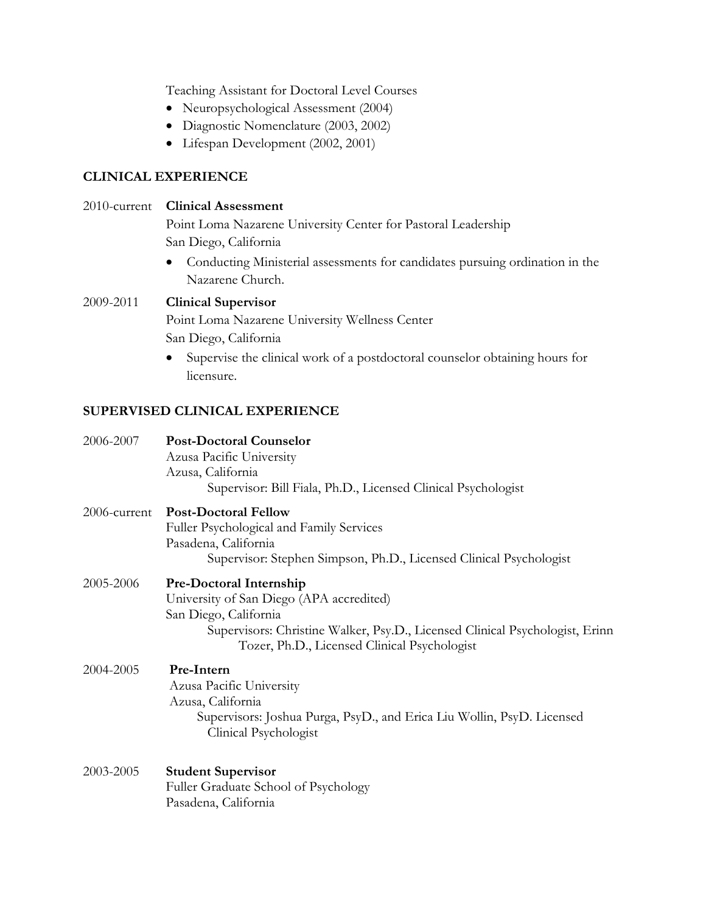Teaching Assistant for Doctoral Level Courses

- Neuropsychological Assessment (2004)
- Diagnostic Nomenclature (2003, 2002)
- Lifespan Development (2002, 2001)

## **CLINICAL EXPERIENCE**

## 2010-current **Clinical Assessment**

Point Loma Nazarene University Center for Pastoral Leadership San Diego, California

• Conducting Ministerial assessments for candidates pursuing ordination in the Nazarene Church.

## 2009-2011 **Clinical Supervisor**

Point Loma Nazarene University Wellness Center San Diego, California

• Supervise the clinical work of a postdoctoral counselor obtaining hours for licensure.

## **SUPERVISED CLINICAL EXPERIENCE**

| 2006-2007    | <b>Post-Doctoral Counselor</b><br>Azusa Pacific University<br>Azusa, California<br>Supervisor: Bill Fiala, Ph.D., Licensed Clinical Psychologist                                                                             |
|--------------|------------------------------------------------------------------------------------------------------------------------------------------------------------------------------------------------------------------------------|
| 2006-current | <b>Post-Doctoral Fellow</b><br>Fuller Psychological and Family Services<br>Pasadena, California<br>Supervisor: Stephen Simpson, Ph.D., Licensed Clinical Psychologist                                                        |
| 2005-2006    | Pre-Doctoral Internship<br>University of San Diego (APA accredited)<br>San Diego, California<br>Supervisors: Christine Walker, Psy.D., Licensed Clinical Psychologist, Erinn<br>Tozer, Ph.D., Licensed Clinical Psychologist |
| 2004-2005    | Pre-Intern<br>Azusa Pacific University<br>Azusa, California<br>Supervisors: Joshua Purga, PsyD., and Erica Liu Wollin, PsyD. Licensed<br>Clinical Psychologist                                                               |
| 2003-2005    | <b>Student Supervisor</b><br>Fuller Graduate School of Psychology<br>Pasadena, California                                                                                                                                    |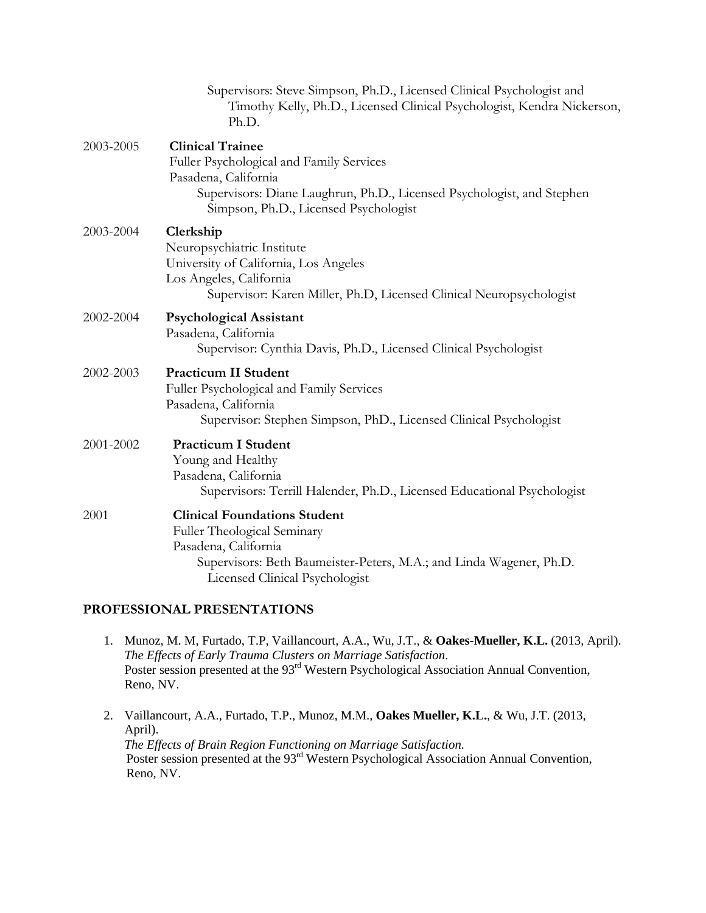|           | Supervisors: Steve Simpson, Ph.D., Licensed Clinical Psychologist and<br>Timothy Kelly, Ph.D., Licensed Clinical Psychologist, Kendra Nickerson,<br>Ph.D.                                                      |
|-----------|----------------------------------------------------------------------------------------------------------------------------------------------------------------------------------------------------------------|
| 2003-2005 | <b>Clinical Trainee</b><br>Fuller Psychological and Family Services<br>Pasadena, California<br>Supervisors: Diane Laughrun, Ph.D., Licensed Psychologist, and Stephen<br>Simpson, Ph.D., Licensed Psychologist |
| 2003-2004 | Clerkship<br>Neuropsychiatric Institute<br>University of California, Los Angeles<br>Los Angeles, California<br>Supervisor: Karen Miller, Ph.D, Licensed Clinical Neuropsychologist                             |
| 2002-2004 | <b>Psychological Assistant</b><br>Pasadena, California<br>Supervisor: Cynthia Davis, Ph.D., Licensed Clinical Psychologist                                                                                     |
| 2002-2003 | <b>Practicum II Student</b><br>Fuller Psychological and Family Services<br>Pasadena, California<br>Supervisor: Stephen Simpson, PhD., Licensed Clinical Psychologist                                           |
| 2001-2002 | <b>Practicum I Student</b><br>Young and Healthy<br>Pasadena, California<br>Supervisors: Terrill Halender, Ph.D., Licensed Educational Psychologist                                                             |
| 2001      | <b>Clinical Foundations Student</b><br>Fuller Theological Seminary<br>Pasadena, California<br>Supervisors: Beth Baumeister-Peters, M.A.; and Linda Wagener, Ph.D.<br>Licensed Clinical Psychologist            |

## **PROFESSIONAL PRESENTATIONS**

- 1. Munoz, M. M, Furtado, T.P, Vaillancourt, A.A., Wu, J.T., & **Oakes-Mueller, K.L.** (2013, April). *The Effects of Early Trauma Clusters on Marriage Satisfaction*. Poster session presented at the 93<sup>rd</sup> Western Psychological Association Annual Convention, Reno, NV.
- 2. Vaillancourt, A.A., Furtado, T.P., Munoz, M.M., **Oakes Mueller, K.L.**, & Wu, J.T. (2013, April). *The Effects of Brain Region Functioning on Marriage Satisfaction.* Poster session presented at the 93<sup>rd</sup> Western Psychological Association Annual Convention, Reno, NV.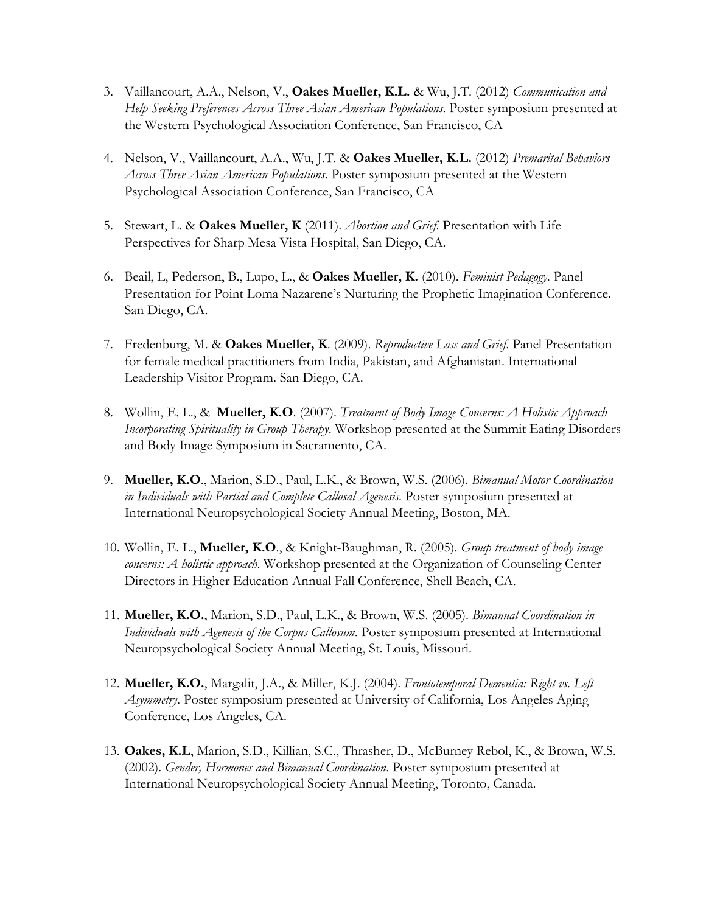- 3. Vaillancourt, A.A., Nelson, V., **Oakes Mueller, K.L.** & Wu, J.T. (2012) *Communication and Help Seeking Preferences Across Three Asian American Populations*. Poster symposium presented at the Western Psychological Association Conference, San Francisco, CA
- 4. Nelson, V., Vaillancourt, A.A., Wu, J.T. & **Oakes Mueller, K.L.** (2012) *Premarital Behaviors Across Three Asian American Populations*. Poster symposium presented at the Western Psychological Association Conference, San Francisco, CA
- 5. Stewart, L. & **Oakes Mueller, K** (2011). *Abortion and Grief*. Presentation with Life Perspectives for Sharp Mesa Vista Hospital, San Diego, CA.
- 6. Beail, L, Pederson, B., Lupo, L., & **Oakes Mueller, K.** (2010). *Feminist Pedagogy*. Panel Presentation for Point Loma Nazarene's Nurturing the Prophetic Imagination Conference. San Diego, CA.
- 7. Fredenburg, M. & **Oakes Mueller, K**. (2009). *Reproductive Loss and Grief*. Panel Presentation for female medical practitioners from India, Pakistan, and Afghanistan. International Leadership Visitor Program. San Diego, CA.
- 8. Wollin, E. L., & **Mueller, K.O**. (2007). *Treatment of Body Image Concerns: A Holistic Approach Incorporating Spirituality in Group Therapy*. Workshop presented at the Summit Eating Disorders and Body Image Symposium in Sacramento, CA.
- 9. **Mueller, K.O**., Marion, S.D., Paul, L.K., & Brown, W.S. (2006). *Bimanual Motor Coordination in Individuals with Partial and Complete Callosal Agenesis*. Poster symposium presented at International Neuropsychological Society Annual Meeting, Boston, MA.
- 10. Wollin, E. L., **Mueller, K.O**., & Knight-Baughman, R. (2005). *Group treatment of body image concerns: A holistic approach*. Workshop presented at the Organization of Counseling Center Directors in Higher Education Annual Fall Conference, Shell Beach, CA.
- 11. **Mueller, K.O.**, Marion, S.D., Paul, L.K., & Brown, W.S. (2005). *Bimanual Coordination in Individuals with Agenesis of the Corpus Callosum*. Poster symposium presented at International Neuropsychological Society Annual Meeting, St. Louis, Missouri.
- 12. **Mueller, K.O.**, Margalit, J.A., & Miller, K.J. (2004). *Frontotemporal Dementia: Right vs. Left Asymmetry*. Poster symposium presented at University of California, Los Angeles Aging Conference, Los Angeles, CA.
- 13. **Oakes, K.L**, Marion, S.D., Killian, S.C., Thrasher, D., McBurney Rebol, K., & Brown, W.S. (2002). *Gender, Hormones and Bimanual Coordination*. Poster symposium presented at International Neuropsychological Society Annual Meeting, Toronto, Canada.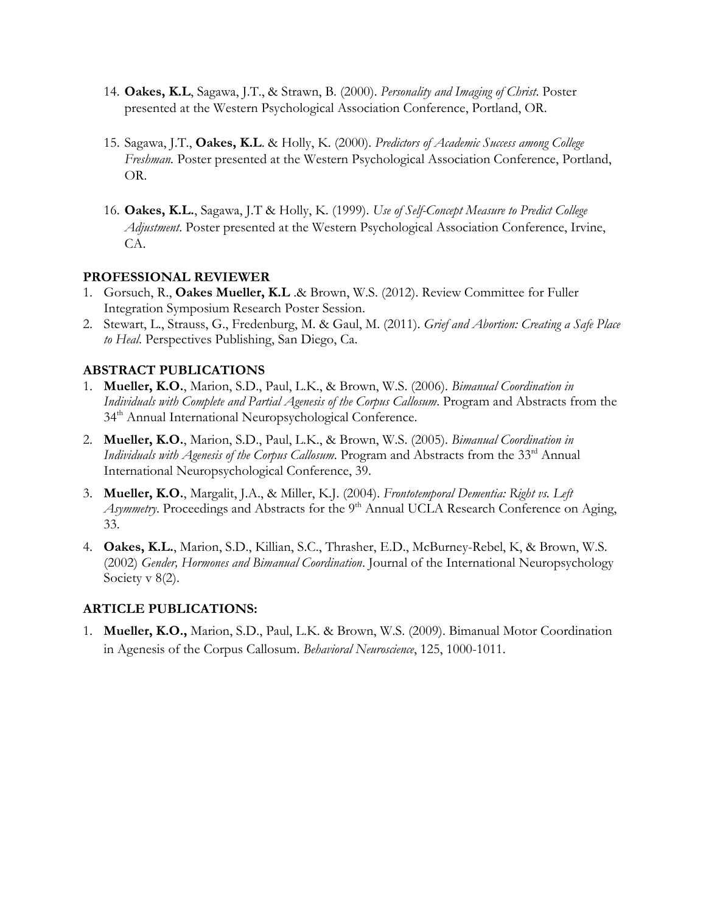- 14. **Oakes, K.L**, Sagawa, J.T., & Strawn, B. (2000). *Personality and Imaging of Christ*. Poster presented at the Western Psychological Association Conference, Portland, OR.
- 15. Sagawa, J.T., **Oakes, K.L**. & Holly, K. (2000). *Predictors of Academic Success among College Freshman.* Poster presented at the Western Psychological Association Conference, Portland, OR.
- 16. **Oakes, K.L.**, Sagawa, J.T & Holly, K. (1999). *Use of Self-Concept Measure to Predict College Adjustment*. Poster presented at the Western Psychological Association Conference, Irvine, CA.

## **PROFESSIONAL REVIEWER**

- 1. Gorsuch, R., **Oakes Mueller, K.L** .& Brown, W.S. (2012). Review Committee for Fuller Integration Symposium Research Poster Session.
- 2. Stewart, L., Strauss, G., Fredenburg, M. & Gaul, M. (2011). *Grief and Abortion: Creating a Safe Place to Heal*. Perspectives Publishing, San Diego, Ca.

## **ABSTRACT PUBLICATIONS**

- 1. **Mueller, K.O.**, Marion, S.D., Paul, L.K., & Brown, W.S. (2006). *Bimanual Coordination in Individuals with Complete and Partial Agenesis of the Corpus Callosum*. Program and Abstracts from the 34<sup>th</sup> Annual International Neuropsychological Conference.
- 2. **Mueller, K.O.**, Marion, S.D., Paul, L.K., & Brown, W.S. (2005). *Bimanual Coordination in Individuals with Agenesis of the Corpus Callosum.* Program and Abstracts from the 33<sup>rd</sup> Annual International Neuropsychological Conference, 39.
- 3. **Mueller, K.O.**, Margalit, J.A., & Miller, K.J. (2004). *Frontotemporal Dementia: Right vs. Left Asymmetry*. Proceedings and Abstracts for the 9<sup>th</sup> Annual UCLA Research Conference on Aging, 33.
- 4. **Oakes, K.L.**, Marion, S.D., Killian, S.C., Thrasher, E.D., McBurney-Rebel, K, & Brown, W.S. (2002) *Gender, Hormones and Bimanual Coordination*. Journal of the International Neuropsychology Society v 8(2).

## **ARTICLE PUBLICATIONS:**

1. **Mueller, K.O.,** Marion, S.D., Paul, L.K. & Brown, W.S. (2009). Bimanual Motor Coordination in Agenesis of the Corpus Callosum. *Behavioral Neuroscience*, 125, 1000-1011.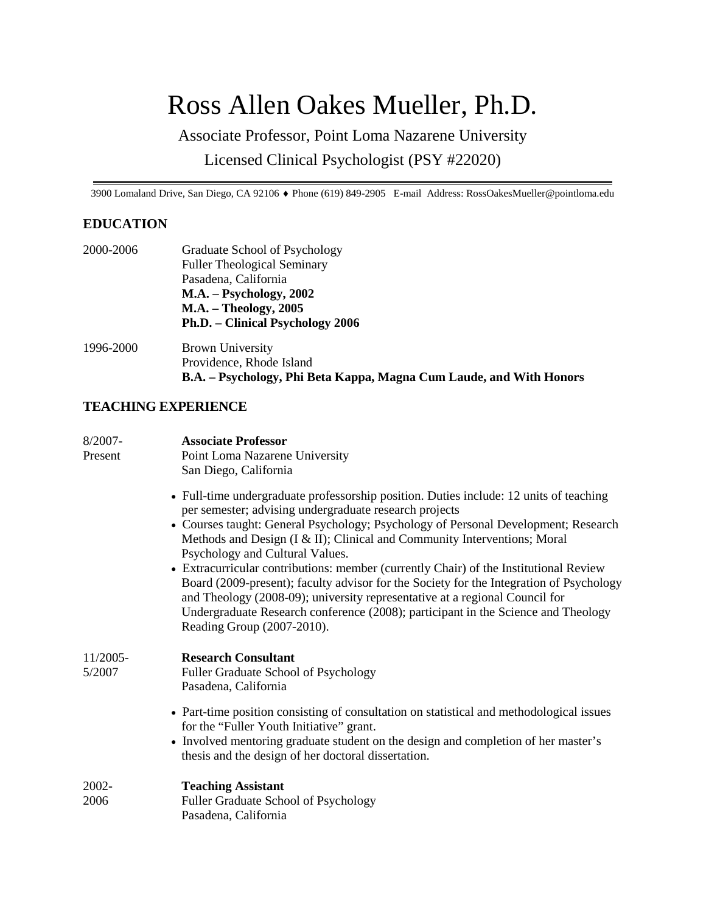# Ross Allen Oakes Mueller, Ph.D.

Associate Professor, Point Loma Nazarene University Licensed Clinical Psychologist (PSY #22020)

3900 Lomaland Drive, San Diego, CA 92106 ♦ Phone (619) 849-2905 E-mail Address: RossOakesMueller@pointloma.edu

## **EDUCATION**

| 2000-2006 | Graduate School of Psychology                                       |
|-----------|---------------------------------------------------------------------|
|           | <b>Fuller Theological Seminary</b>                                  |
|           | Pasadena, California                                                |
|           | $M.A. - Psychology, 2002$                                           |
|           | <b>M.A.</b> – Theology, 2005                                        |
|           | Ph.D. – Clinical Psychology 2006                                    |
| 1996-2000 | <b>Brown University</b>                                             |
|           | Providence, Rhode Island                                            |
|           | B.A. - Psychology, Phi Beta Kappa, Magna Cum Laude, and With Honors |

## **TEACHING EXPERIENCE**

| $8/2007 -$<br>Present | <b>Associate Professor</b><br>Point Loma Nazarene University<br>San Diego, California                                                                                                                                                                                                                                                                                                                                                                                                                                                                                                                                                                                                                                                       |
|-----------------------|---------------------------------------------------------------------------------------------------------------------------------------------------------------------------------------------------------------------------------------------------------------------------------------------------------------------------------------------------------------------------------------------------------------------------------------------------------------------------------------------------------------------------------------------------------------------------------------------------------------------------------------------------------------------------------------------------------------------------------------------|
|                       | • Full-time undergraduate professorship position. Duties include: 12 units of teaching<br>per semester; advising undergraduate research projects<br>• Courses taught: General Psychology; Psychology of Personal Development; Research<br>Methods and Design (I & II); Clinical and Community Interventions; Moral<br>Psychology and Cultural Values.<br>• Extracurricular contributions: member (currently Chair) of the Institutional Review<br>Board (2009-present); faculty advisor for the Society for the Integration of Psychology<br>and Theology (2008-09); university representative at a regional Council for<br>Undergraduate Research conference (2008); participant in the Science and Theology<br>Reading Group (2007-2010). |
| $11/2005-$<br>5/2007  | <b>Research Consultant</b><br>Fuller Graduate School of Psychology<br>Pasadena, California                                                                                                                                                                                                                                                                                                                                                                                                                                                                                                                                                                                                                                                  |
|                       | • Part-time position consisting of consultation on statistical and methodological issues<br>for the "Fuller Youth Initiative" grant.<br>• Involved mentoring graduate student on the design and completion of her master's<br>thesis and the design of her doctoral dissertation.                                                                                                                                                                                                                                                                                                                                                                                                                                                           |
| 2002-<br>2006         | <b>Teaching Assistant</b><br>Fuller Graduate School of Psychology<br>Pasadena, California                                                                                                                                                                                                                                                                                                                                                                                                                                                                                                                                                                                                                                                   |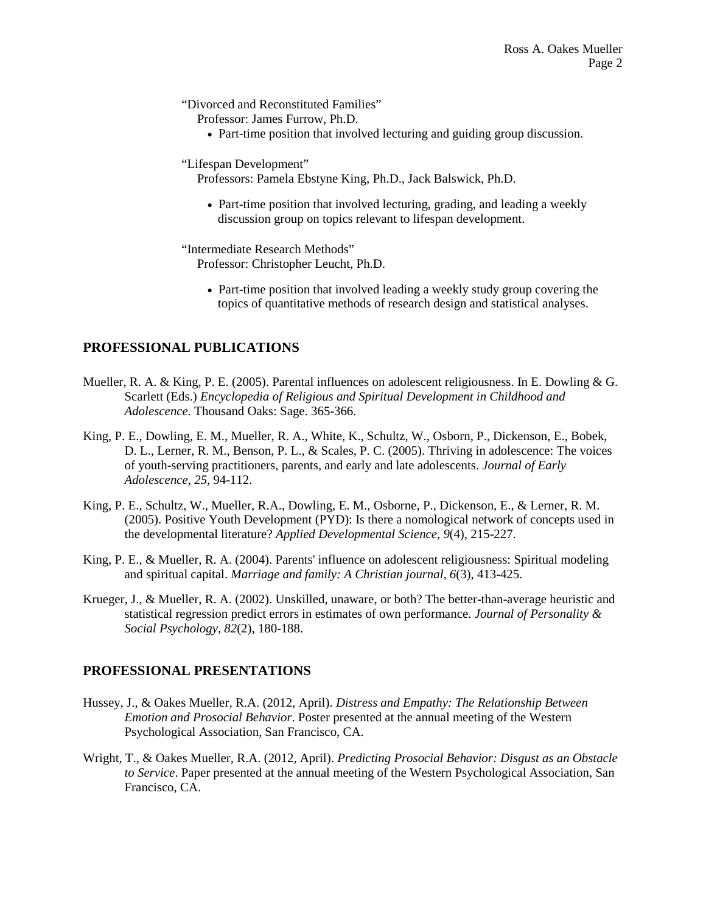"Divorced and Reconstituted Families"

Professor: James Furrow, Ph.D.

• Part-time position that involved lecturing and guiding group discussion.

#### "Lifespan Development"

Professors: Pamela Ebstyne King, Ph.D., Jack Balswick, Ph.D.

• Part-time position that involved lecturing, grading, and leading a weekly discussion group on topics relevant to lifespan development.

"Intermediate Research Methods" Professor: Christopher Leucht, Ph.D.

> • Part-time position that involved leading a weekly study group covering the topics of quantitative methods of research design and statistical analyses.

## **PROFESSIONAL PUBLICATIONS**

- Mueller, R. A. & King, P. E. (2005). Parental influences on adolescent religiousness. In E. Dowling & G. Scarlett (Eds.) *Encyclopedia of Religious and Spiritual Development in Childhood and Adolescence.* Thousand Oaks: Sage. 365-366.
- King, P. E., Dowling, E. M., Mueller, R. A., White, K., Schultz, W., Osborn, P., Dickenson, E., Bobek, D. L., Lerner, R. M., Benson, P. L., & Scales, P. C. (2005). Thriving in adolescence: The voices of youth-serving practitioners, parents, and early and late adolescents. *Journal of Early Adolescence, 25*, 94-112.
- King, P. E., Schultz, W., Mueller, R.A., Dowling, E. M., Osborne, P., Dickenson, E., & Lerner, R. M. (2005). Positive Youth Development (PYD): Is there a nomological network of concepts used in the developmental literature? *Applied Developmental Science, 9*(4), 215-227.
- King, P. E., & Mueller, R. A. (2004). Parents' influence on adolescent religiousness: Spiritual modeling and spiritual capital. *Marriage and family: A Christian journal, 6*(3), 413-425.
- Krueger, J., & Mueller, R. A. (2002). Unskilled, unaware, or both? The better-than-average heuristic and statistical regression predict errors in estimates of own performance. *Journal of Personality & Social Psychology, 82*(2), 180-188.

## **PROFESSIONAL PRESENTATIONS**

- Hussey, J., & Oakes Mueller, R.A. (2012, April). *Distress and Empathy: The Relationship Between Emotion and Prosocial Behavior*. Poster presented at the annual meeting of the Western Psychological Association, San Francisco, CA.
- Wright, T., & Oakes Mueller, R.A. (2012, April). *Predicting Prosocial Behavior: Disgust as an Obstacle to Service*. Paper presented at the annual meeting of the Western Psychological Association, San Francisco, CA.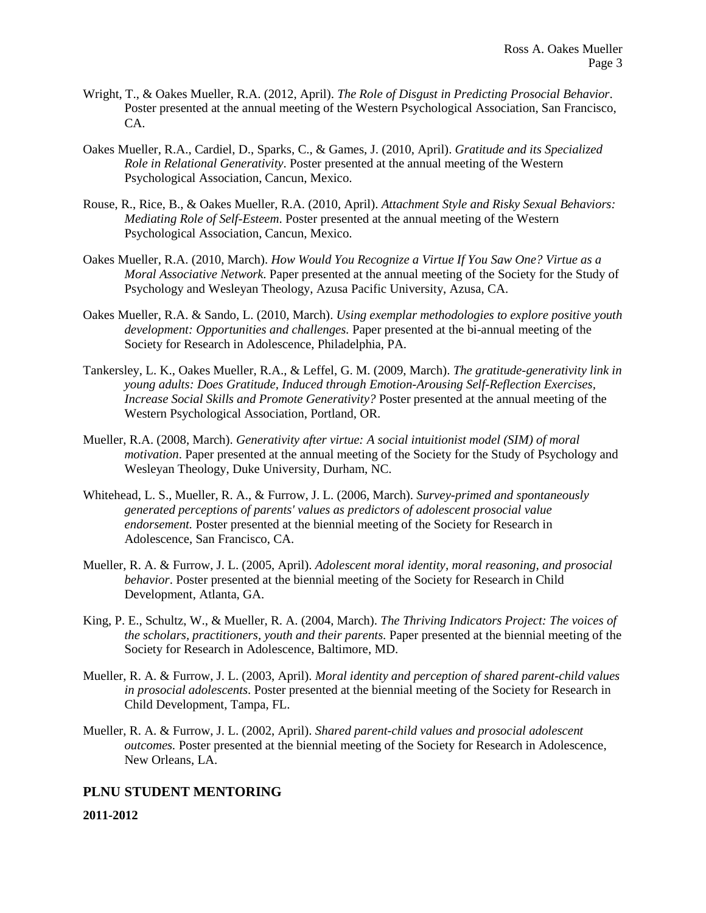- Wright, T., & Oakes Mueller, R.A. (2012, April). *The Role of Disgust in Predicting Prosocial Behavior*. Poster presented at the annual meeting of the Western Psychological Association, San Francisco, CA.
- Oakes Mueller, R.A., Cardiel, D., Sparks, C., & Games, J. (2010, April). *Gratitude and its Specialized Role in Relational Generativity*. Poster presented at the annual meeting of the Western Psychological Association, Cancun, Mexico.
- Rouse, R., Rice, B., & Oakes Mueller, R.A. (2010, April). *Attachment Style and Risky Sexual Behaviors: Mediating Role of Self-Esteem*. Poster presented at the annual meeting of the Western Psychological Association, Cancun, Mexico.
- Oakes Mueller, R.A. (2010, March). *How Would You Recognize a Virtue If You Saw One? Virtue as a Moral Associative Network*. Paper presented at the annual meeting of the Society for the Study of Psychology and Wesleyan Theology, Azusa Pacific University, Azusa, CA.
- Oakes Mueller, R.A. & Sando, L. (2010, March). *Using exemplar methodologies to explore positive youth development: Opportunities and challenges.* Paper presented at the bi-annual meeting of the Society for Research in Adolescence, Philadelphia, PA.
- Tankersley, L. K., Oakes Mueller, R.A., & Leffel, G. M. (2009, March). *The gratitude-generativity link in young adults: Does Gratitude, Induced through Emotion-Arousing Self-Reflection Exercises, Increase Social Skills and Promote Generativity?* Poster presented at the annual meeting of the Western Psychological Association, Portland, OR.
- Mueller, R.A. (2008, March). *Generativity after virtue: A social intuitionist model (SIM) of moral motivation*. Paper presented at the annual meeting of the Society for the Study of Psychology and Wesleyan Theology, Duke University, Durham, NC.
- Whitehead, L. S., Mueller, R. A., & Furrow, J. L. (2006, March). *Survey-primed and spontaneously generated perceptions of parents' values as predictors of adolescent prosocial value endorsement.* Poster presented at the biennial meeting of the Society for Research in Adolescence, San Francisco, CA.
- Mueller, R. A. & Furrow, J. L. (2005, April). *Adolescent moral identity, moral reasoning, and prosocial behavior*. Poster presented at the biennial meeting of the Society for Research in Child Development, Atlanta, GA.
- King, P. E., Schultz, W., & Mueller, R. A. (2004, March). *The Thriving Indicators Project: The voices of the scholars, practitioners, youth and their parents.* Paper presented at the biennial meeting of the Society for Research in Adolescence, Baltimore, MD.
- Mueller, R. A. & Furrow, J. L. (2003, April). *Moral identity and perception of shared parent-child values in prosocial adolescents*. Poster presented at the biennial meeting of the Society for Research in Child Development, Tampa, FL.
- Mueller, R. A. & Furrow, J. L. (2002, April). *Shared parent-child values and prosocial adolescent outcomes.* Poster presented at the biennial meeting of the Society for Research in Adolescence, New Orleans, LA.

## **PLNU STUDENT MENTORING**

#### **2011-2012**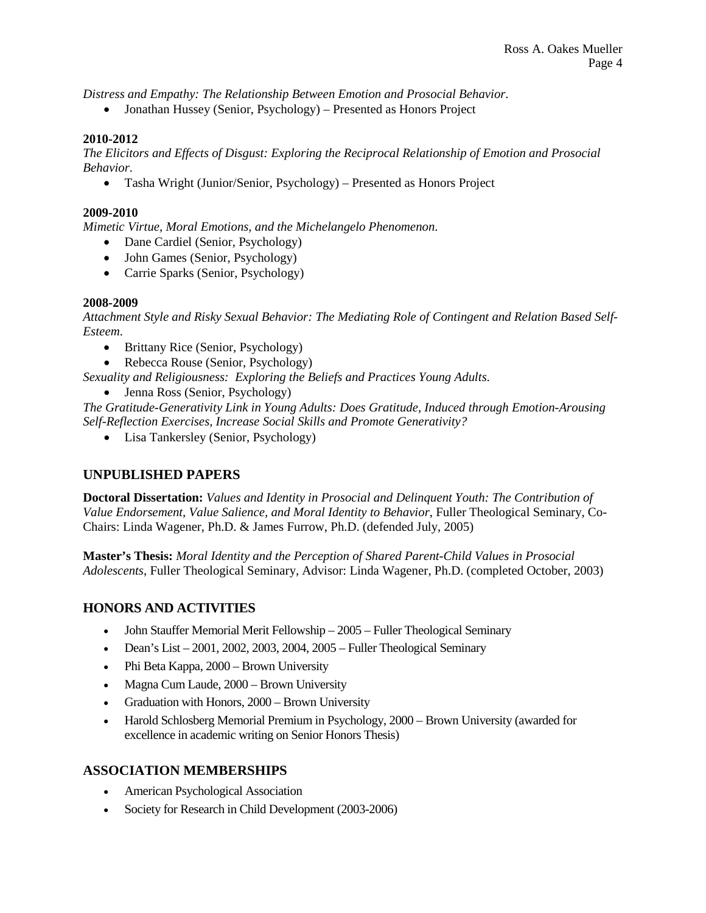*Distress and Empathy: The Relationship Between Emotion and Prosocial Behavior*.

• Jonathan Hussey (Senior, Psychology) – Presented as Honors Project

#### **2010-2012**

*The Elicitors and Effects of Disgust: Exploring the Reciprocal Relationship of Emotion and Prosocial Behavior*.

• Tasha Wright (Junior/Senior, Psychology) – Presented as Honors Project

#### **2009-2010**

*Mimetic Virtue, Moral Emotions, and the Michelangelo Phenomenon*.

- Dane Cardiel (Senior, Psychology)
- John Games (Senior, Psychology)
- Carrie Sparks (Senior, Psychology)

#### **2008-2009**

*Attachment Style and Risky Sexual Behavior: The Mediating Role of Contingent and Relation Based Self-Esteem*.

- Brittany Rice (Senior, Psychology)
- Rebecca Rouse (Senior, Psychology)
- *Sexuality and Religiousness: Exploring the Beliefs and Practices Young Adults*.
	- Jenna Ross (Senior, Psychology)

*The Gratitude-Generativity Link in Young Adults: Does Gratitude, Induced through Emotion-Arousing Self-Reflection Exercises, Increase Social Skills and Promote Generativity?*

• Lisa Tankersley (Senior, Psychology)

## **UNPUBLISHED PAPERS**

**Doctoral Dissertation:** *Values and Identity in Prosocial and Delinquent Youth: The Contribution of Value Endorsement, Value Salience, and Moral Identity to Behavior*, Fuller Theological Seminary, Co-Chairs: Linda Wagener, Ph.D. & James Furrow, Ph.D. (defended July, 2005)

**Master's Thesis:** *Moral Identity and the Perception of Shared Parent-Child Values in Prosocial Adolescents*, Fuller Theological Seminary, Advisor: Linda Wagener, Ph.D. (completed October, 2003)

## **HONORS AND ACTIVITIES**

- John Stauffer Memorial Merit Fellowship 2005 Fuller Theological Seminary
- Dean's List 2001, 2002, 2003, 2004, 2005 Fuller Theological Seminary
- Phi Beta Kappa, 2000 Brown University
- Magna Cum Laude, 2000 Brown University
- Graduation with Honors, 2000 Brown University
- Harold Schlosberg Memorial Premium in Psychology, 2000 Brown University (awarded for excellence in academic writing on Senior Honors Thesis)

## **ASSOCIATION MEMBERSHIPS**

- American Psychological Association
- Society for Research in Child Development (2003-2006)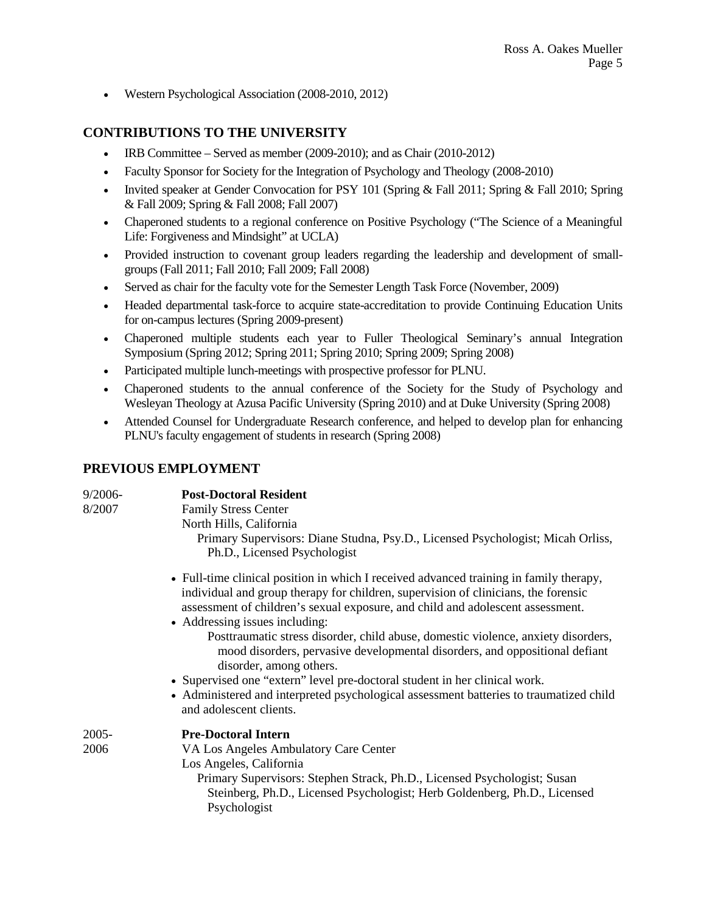• Western Psychological Association (2008-2010, 2012)

## **CONTRIBUTIONS TO THE UNIVERSITY**

- IRB Committee Served as member (2009-2010); and as Chair (2010-2012)
- Faculty Sponsor for Society for the Integration of Psychology and Theology (2008-2010)
- Invited speaker at Gender Convocation for PSY 101 (Spring & Fall 2011; Spring & Fall 2010; Spring & Fall 2009; Spring & Fall 2008; Fall 2007)
- Chaperoned students to a regional conference on Positive Psychology ("The Science of a Meaningful Life: Forgiveness and Mindsight" at UCLA)
- Provided instruction to covenant group leaders regarding the leadership and development of smallgroups (Fall 2011; Fall 2010; Fall 2009; Fall 2008)
- Served as chair for the faculty vote for the Semester Length Task Force (November, 2009)
- Headed departmental task-force to acquire state-accreditation to provide Continuing Education Units for on-campus lectures (Spring 2009-present)
- Chaperoned multiple students each year to Fuller Theological Seminary's annual Integration Symposium (Spring 2012; Spring 2011; Spring 2010; Spring 2009; Spring 2008)
- Participated multiple lunch-meetings with prospective professor for PLNU.
- Chaperoned students to the annual conference of the Society for the Study of Psychology and Wesleyan Theology at Azusa Pacific University (Spring 2010) and at Duke University (Spring 2008)
- Attended Counsel for Undergraduate Research conference, and helped to develop plan for enhancing PLNU's faculty engagement of students in research (Spring 2008)

## **PREVIOUS EMPLOYMENT**

| 9/2006-<br>8/2007 | <b>Post-Doctoral Resident</b><br><b>Family Stress Center</b><br>North Hills, California<br>Primary Supervisors: Diane Studna, Psy.D., Licensed Psychologist; Micah Orliss,<br>Ph.D., Licensed Psychologist                                                                                                                                                                                                                                                                                                                                                                                                                                                                                         |
|-------------------|----------------------------------------------------------------------------------------------------------------------------------------------------------------------------------------------------------------------------------------------------------------------------------------------------------------------------------------------------------------------------------------------------------------------------------------------------------------------------------------------------------------------------------------------------------------------------------------------------------------------------------------------------------------------------------------------------|
|                   | • Full-time clinical position in which I received advanced training in family therapy,<br>individual and group therapy for children, supervision of clinicians, the forensic<br>assessment of children's sexual exposure, and child and adolescent assessment.<br>• Addressing issues including:<br>Posttraumatic stress disorder, child abuse, domestic violence, anxiety disorders,<br>mood disorders, pervasive developmental disorders, and oppositional defiant<br>disorder, among others.<br>• Supervised one "extern" level pre-doctoral student in her clinical work.<br>• Administered and interpreted psychological assessment batteries to traumatized child<br>and adolescent clients. |
| 2005-<br>2006     | <b>Pre-Doctoral Intern</b><br>VA Los Angeles Ambulatory Care Center<br>Los Angeles, California<br>Primary Supervisors: Stephen Strack, Ph.D., Licensed Psychologist; Susan<br>Steinberg, Ph.D., Licensed Psychologist; Herb Goldenberg, Ph.D., Licensed<br>Psychologist                                                                                                                                                                                                                                                                                                                                                                                                                            |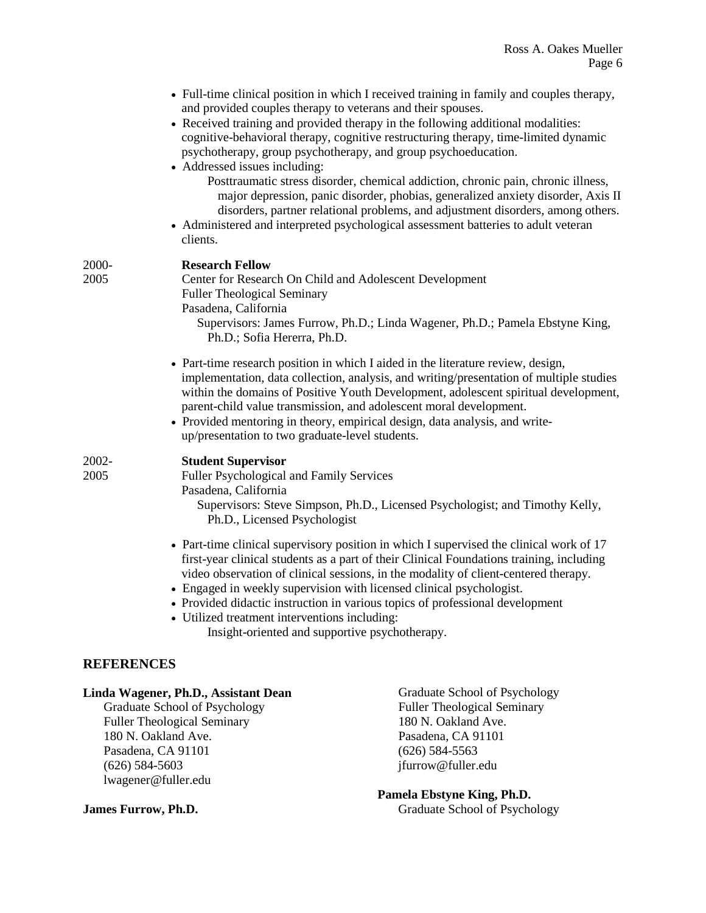| • Full-time clinical position in which I received training in family and couples therapy, |
|-------------------------------------------------------------------------------------------|
| and provided couples therapy to veterans and their spouses.                               |

• Received training and provided therapy in the following additional modalities: cognitive-behavioral therapy, cognitive restructuring therapy, time-limited dynamic psychotherapy, group psychotherapy, and group psychoeducation.

#### • Addressed issues including:

- Posttraumatic stress disorder, chemical addiction, chronic pain, chronic illness, major depression, panic disorder, phobias, generalized anxiety disorder, Axis II disorders, partner relational problems, and adjustment disorders, among others.
- Administered and interpreted psychological assessment batteries to adult veteran clients.

| 2000-<br>2005 | <b>Research Fellow</b><br>Center for Research On Child and Adolescent Development<br><b>Fuller Theological Seminary</b><br>Pasadena, California<br>Supervisors: James Furrow, Ph.D.; Linda Wagener, Ph.D.; Pamela Ebstyne King,<br>Ph.D.; Sofia Hererra, Ph.D.                                                                                                                                                                                                                                                                         |
|---------------|----------------------------------------------------------------------------------------------------------------------------------------------------------------------------------------------------------------------------------------------------------------------------------------------------------------------------------------------------------------------------------------------------------------------------------------------------------------------------------------------------------------------------------------|
|               | • Part-time research position in which I aided in the literature review, design,<br>implementation, data collection, analysis, and writing/presentation of multiple studies<br>within the domains of Positive Youth Development, adolescent spiritual development,<br>parent-child value transmission, and adolescent moral development.<br>• Provided mentoring in theory, empirical design, data analysis, and write-<br>up/presentation to two graduate-level students.                                                             |
| 2002-<br>2005 | <b>Student Supervisor</b><br>Fuller Psychological and Family Services<br>Pasadena, California<br>Supervisors: Steve Simpson, Ph.D., Licensed Psychologist; and Timothy Kelly,<br>Ph.D., Licensed Psychologist                                                                                                                                                                                                                                                                                                                          |
|               | • Part-time clinical supervisory position in which I supervised the clinical work of 17<br>first-year clinical students as a part of their Clinical Foundations training, including<br>video observation of clinical sessions, in the modality of client-centered therapy.<br>• Engaged in weekly supervision with licensed clinical psychologist.<br>• Provided didactic instruction in various topics of professional development<br>• Utilized treatment interventions including:<br>Insight-oriented and supportive psychotherapy. |

## **REFERENCES**

#### **Linda Wagener, Ph.D., Assistant Dean**

Graduate School of Psychology Fuller Theological Seminary 180 N. Oakland Ave. Pasadena, CA 91101 (626) 584-5603 lwagener@fuller.edu

Graduate School of Psychology Fuller Theological Seminary 180 N. Oakland Ave. Pasadena, CA 91101 (626) 584-5563 jfurrow@fuller.edu

**Pamela Ebstyne King, Ph.D.**  Graduate School of Psychology

**James Furrow, Ph.D.**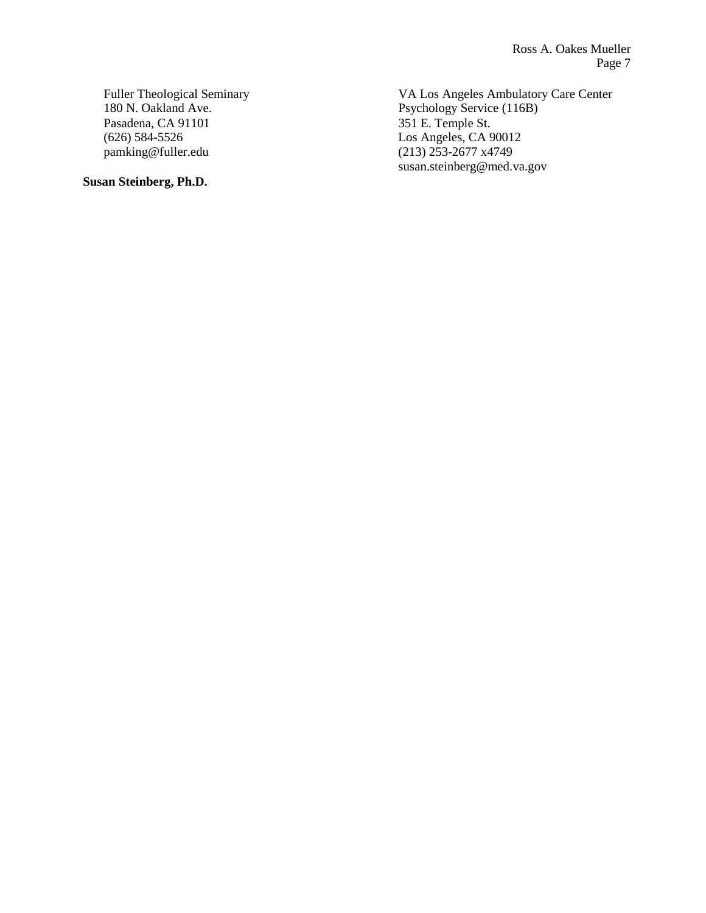Fuller Theological Seminary 180 N. Oakland Ave. Pasadena, CA 91101 (626) 584-5526 pamking@fuller.edu

**Susan Steinberg, Ph.D.** 

VA Los Angeles Ambulatory Care Center Psychology Service (116B) 351 E. Temple St. Los Angeles, CA 90012 (213) 253-2677 x4749 susan.steinberg@med.va.gov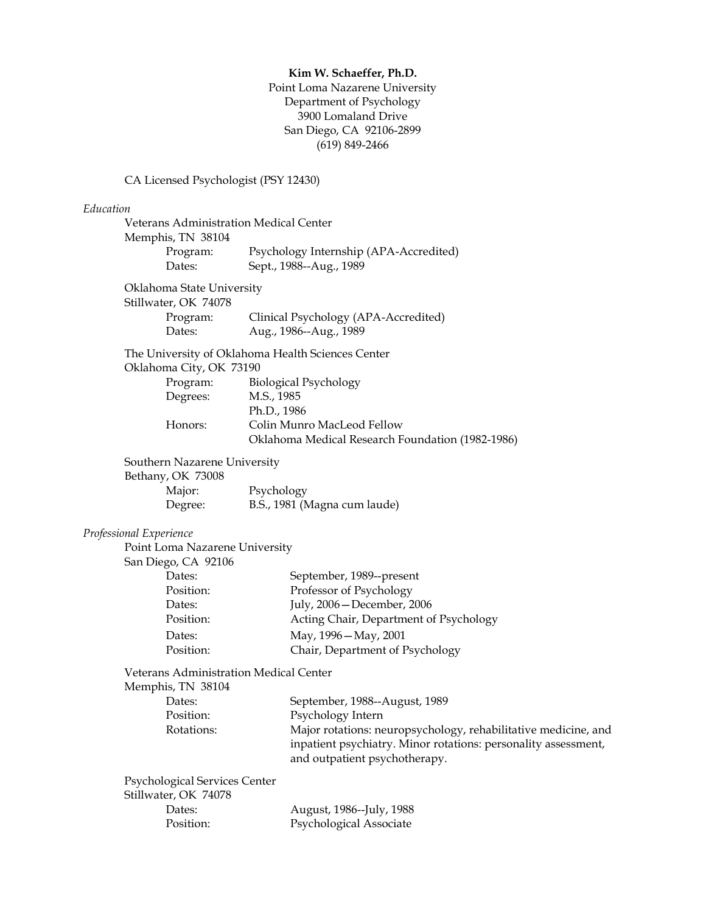#### **Kim W. Schaeffer, Ph.D.**

Point Loma Nazarene University Department of Psychology 3900 Lomaland Drive San Diego, CA 92106-2899 (619) 849-2466

## CA Licensed Psychologist (PSY 12430)

#### *Education*

|                                                       | Veterans Administration Medical Center<br>Memphis, TN 38104                                     |  |  |
|-------------------------------------------------------|-------------------------------------------------------------------------------------------------|--|--|
| Program:<br>Dates:                                    | Psychology Internship (APA-Accredited)<br>Sept., 1988--Aug., 1989                               |  |  |
| Oklahoma State University                             |                                                                                                 |  |  |
| Stillwater, OK 74078                                  |                                                                                                 |  |  |
| Program:<br>Dates:                                    | Clinical Psychology (APA-Accredited)<br>Aug., 1986--Aug., 1989                                  |  |  |
| Oklahoma City, OK 73190                               | The University of Oklahoma Health Sciences Center                                               |  |  |
| Program:                                              | <b>Biological Psychology</b>                                                                    |  |  |
| Degrees:                                              | M.S., 1985                                                                                      |  |  |
|                                                       | Ph.D., 1986                                                                                     |  |  |
| Honors:                                               | Colin Munro MacLeod Fellow<br>Oklahoma Medical Research Foundation (1982-1986)                  |  |  |
|                                                       |                                                                                                 |  |  |
| Southern Nazarene University                          |                                                                                                 |  |  |
| Bethany, OK 73008<br>Major:                           |                                                                                                 |  |  |
| Degree:                                               | Psychology<br>B.S., 1981 (Magna cum laude)                                                      |  |  |
|                                                       |                                                                                                 |  |  |
| Professional Experience                               |                                                                                                 |  |  |
| Point Loma Nazarene University                        |                                                                                                 |  |  |
| San Diego, CA 92106                                   |                                                                                                 |  |  |
| Dates:                                                | September, 1989--present                                                                        |  |  |
| Position:                                             | Professor of Psychology                                                                         |  |  |
| Dates:                                                | July, 2006 - December, 2006                                                                     |  |  |
| Position:                                             | Acting Chair, Department of Psychology                                                          |  |  |
| Dates:                                                | May, 1996 - May, 2001                                                                           |  |  |
| Position:                                             | Chair, Department of Psychology                                                                 |  |  |
| Veterans Administration Medical Center                |                                                                                                 |  |  |
| Memphis, TN 38104                                     |                                                                                                 |  |  |
| Dates:                                                | September, 1988--August, 1989                                                                   |  |  |
| Position:                                             | Psychology Intern                                                                               |  |  |
| Rotations:                                            | Major rotations: neuropsychology, rehabilitative medicine, and                                  |  |  |
|                                                       | inpatient psychiatry. Minor rotations: personality assessment,<br>and outpatient psychotherapy. |  |  |
|                                                       |                                                                                                 |  |  |
| Psychological Services Center<br>Stillwater, OK 74078 |                                                                                                 |  |  |
| Dates:                                                | August, 1986--July, 1988                                                                        |  |  |
| Position:                                             | Psychological Associate                                                                         |  |  |
|                                                       |                                                                                                 |  |  |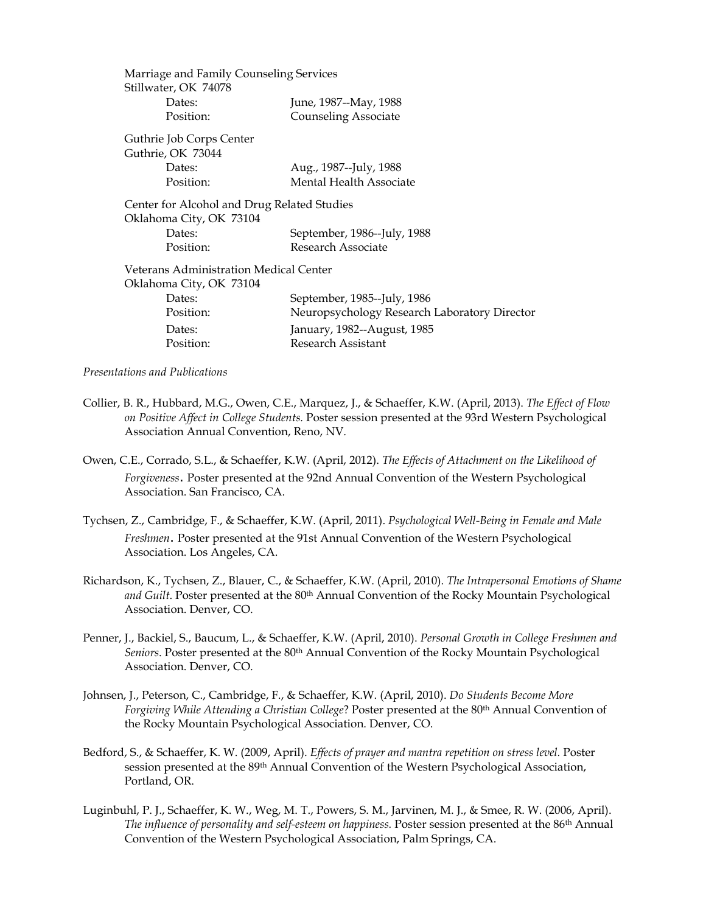| Marriage and Family Counseling Services       |                                              |
|-----------------------------------------------|----------------------------------------------|
| Stillwater, OK 74078                          |                                              |
| Dates:                                        | June, 1987--May, 1988                        |
| Position:                                     | <b>Counseling Associate</b>                  |
| Guthrie Job Corps Center                      |                                              |
| Guthrie, OK 73044                             |                                              |
| Dates:                                        | Aug., 1987--July, 1988                       |
| Position:                                     | Mental Health Associate                      |
| Center for Alcohol and Drug Related Studies   |                                              |
| Oklahoma City, OK 73104                       |                                              |
| Dates:                                        | September, 1986--July, 1988                  |
| Position:                                     | Research Associate                           |
| <b>Veterans Administration Medical Center</b> |                                              |
| Oklahoma City, OK 73104                       |                                              |
| Dates:                                        | September, 1985--July, 1986                  |
| Position:                                     | Neuropsychology Research Laboratory Director |
| Dates:                                        | January, 1982--August, 1985                  |
| Position:                                     | Research Assistant                           |
|                                               |                                              |

*Presentations and Publications*

- Collier, B. R., Hubbard, M.G., Owen, C.E., Marquez, J., & Schaeffer, K.W. (April, 2013). *The Effect of Flow on Positive Affect in College Students.* Poster session presented at the 93rd Western Psychological Association Annual Convention, Reno, NV.
- Owen, C.E., Corrado, S.L., & Schaeffer, K.W. (April, 2012). *The Effects of Attachment on the Likelihood of Forgiveness.* Poster presented at the 92nd Annual Convention of the Western Psychological Association. San Francisco, CA.
- Tychsen, Z., Cambridge, F., & Schaeffer, K.W. (April, 2011). *Psychological Well-Being in Female and Male Freshmen.* Poster presented at the 91st Annual Convention of the Western Psychological Association. Los Angeles, CA.
- Richardson, K., Tychsen, Z., Blauer, C., & Schaeffer, K.W. (April, 2010). *The Intrapersonal Emotions of Shame*  and Guilt. Poster presented at the 80<sup>th</sup> Annual Convention of the Rocky Mountain Psychological Association. Denver, CO.
- Penner, J., Backiel, S., Baucum, L., & Schaeffer, K.W. (April, 2010). *Personal Growth in College Freshmen and*  Seniors. Poster presented at the 80<sup>th</sup> Annual Convention of the Rocky Mountain Psychological Association. Denver, CO.
- Johnsen, J., Peterson, C., Cambridge, F., & Schaeffer, K.W. (April, 2010). *Do Students Become More*  Forgiving While Attending a Christian College? Poster presented at the 80<sup>th</sup> Annual Convention of the Rocky Mountain Psychological Association. Denver, CO.
- Bedford, S., & Schaeffer, K. W. (2009, April). *Effects of prayer and mantra repetition on stress level.* Poster session presented at the 89th Annual Convention of the Western Psychological Association, Portland, OR.
- Luginbuhl, P. J., Schaeffer, K. W., Weg, M. T., Powers, S. M., Jarvinen, M. J., & Smee, R. W. (2006, April). *The influence of personality and self-esteem on happiness.* Poster session presented at the 86th Annual Convention of the Western Psychological Association, Palm Springs, CA.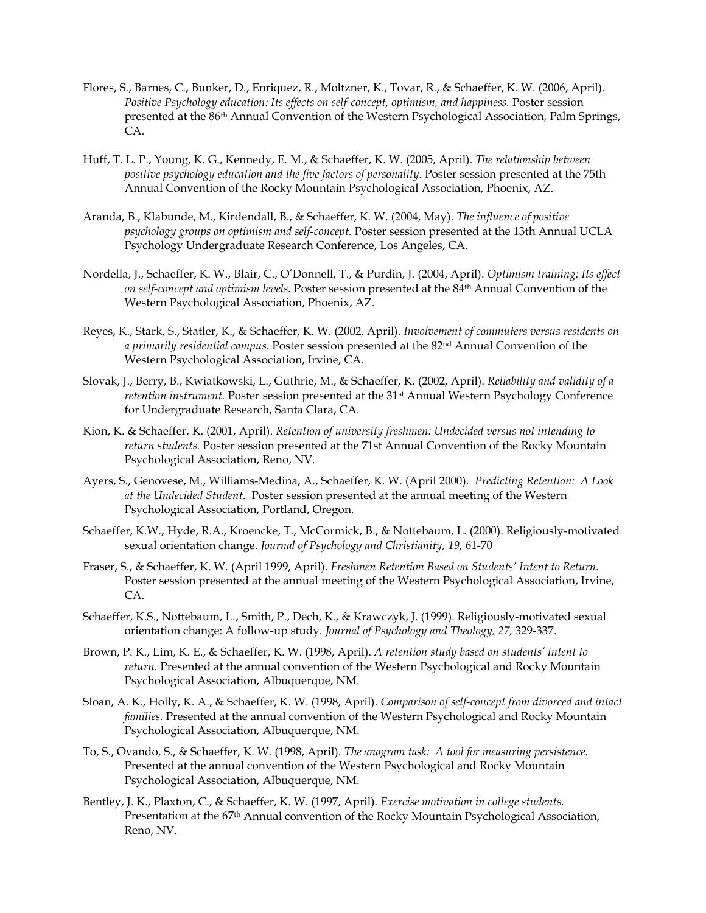- Flores, S., Barnes, C., Bunker, D., Enriquez, R., Moltzner, K., Tovar, R., & Schaeffer, K. W. (2006, April). *Positive Psychology education: Its effects on self-concept, optimism, and happiness. Poster session* presented at the 86th Annual Convention of the Western Psychological Association, Palm Springs, CA.
- Huff, T. L. P., Young, K. G., Kennedy, E. M., & Schaeffer, K. W. (2005, April). *The relationship between positive psychology education and the five factors of personality.* Poster session presented at the 75th Annual Convention of the Rocky Mountain Psychological Association, Phoenix, AZ.
- Aranda, B., Klabunde, M., Kirdendall, B., & Schaeffer, K. W. (2004, May). *The influence of positive psychology groups on optimism and self-concept.* Poster session presented at the 13th Annual UCLA Psychology Undergraduate Research Conference, Los Angeles, CA.
- Nordella, J., Schaeffer, K. W., Blair, C., O'Donnell, T., & Purdin, J. (2004, April). *Optimism training: Its effect on self-concept and optimism levels.* Poster session presented at the 84th Annual Convention of the Western Psychological Association, Phoenix, AZ.
- Reyes, K., Stark, S., Statler, K., & Schaeffer, K. W. (2002, April). *Involvement of commuters versus residents on a primarily residential campus.* Poster session presented at the 82nd Annual Convention of the Western Psychological Association, Irvine, CA.
- Slovak, J., Berry, B., Kwiatkowski, L., Guthrie, M., & Schaeffer, K. (2002, April). *Reliability and validity of a retention instrument.* Poster session presented at the 31<sup>st</sup> Annual Western Psychology Conference for Undergraduate Research, Santa Clara, CA.
- Kion, K. & Schaeffer, K. (2001, April). *Retention of university freshmen: Undecided versus not intending to return students.* Poster session presented at the 71st Annual Convention of the Rocky Mountain Psychological Association, Reno, NV.
- Ayers, S., Genovese, M., Williams-Medina, A., Schaeffer, K. W. (April 2000). *Predicting Retention: A Look at the Undecided Student.* Poster session presented at the annual meeting of the Western Psychological Association, Portland, Oregon.
- Schaeffer, K.W., Hyde, R.A., Kroencke, T., McCormick, B., & Nottebaum, L. (2000). Religiously-motivated sexual orientation change. *Journal of Psychology and Christianity, 19,* 61-70
- Fraser, S., & Schaeffer, K. W. (April 1999, April). *Freshmen Retention Based on Students' Intent to Return.* Poster session presented at the annual meeting of the Western Psychological Association, Irvine, CA.
- Schaeffer, K.S., Nottebaum, L., Smith, P., Dech, K., & Krawczyk, J. (1999). Religiously-motivated sexual orientation change: A follow-up study. *Journal of Psychology and Theology, 27,* 329-337.
- Brown, P. K., Lim, K. E., & Schaeffer, K. W. (1998, April). *A retention study based on students' intent to return.* Presented at the annual convention of the Western Psychological and Rocky Mountain Psychological Association, Albuquerque, NM.
- Sloan, A. K., Holly, K. A., & Schaeffer, K. W. (1998, April). *Comparison of self-concept from divorced and intact families.* Presented at the annual convention of the Western Psychological and Rocky Mountain Psychological Association, Albuquerque, NM.
- To, S., Ovando, S., & Schaeffer, K. W. (1998, April). *The anagram task: A tool for measuring persistence.* Presented at the annual convention of the Western Psychological and Rocky Mountain Psychological Association, Albuquerque, NM.
- Bentley, J. K., Plaxton, C., & Schaeffer, K. W. (1997, April). *Exercise motivation in college students.* Presentation at the 67<sup>th</sup> Annual convention of the Rocky Mountain Psychological Association, Reno, NV.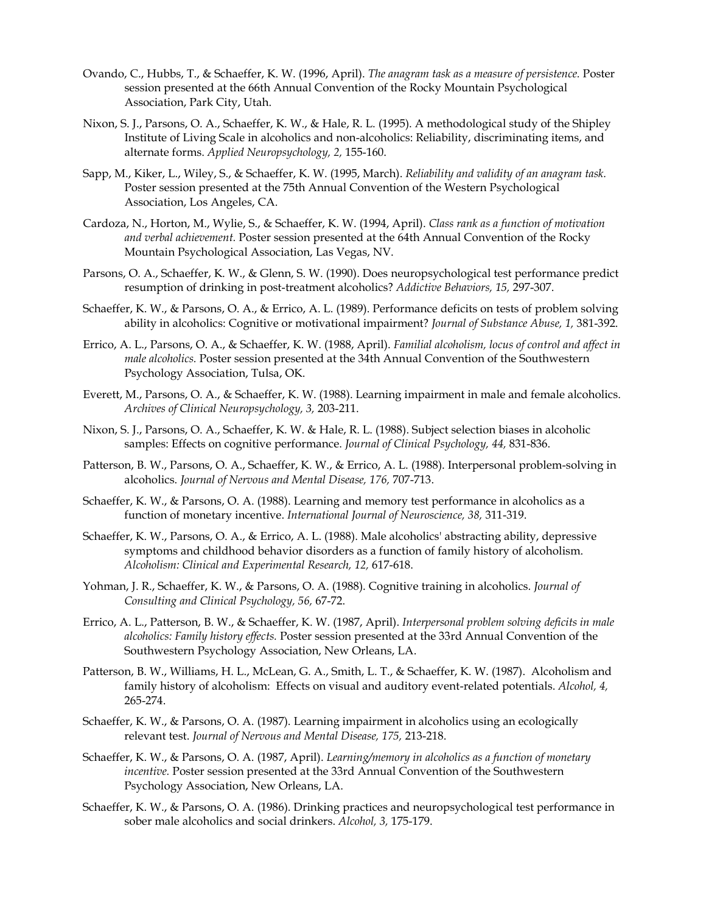- Ovando, C., Hubbs, T., & Schaeffer, K. W. (1996, April). *The anagram task as a measure of persistence.* Poster session presented at the 66th Annual Convention of the Rocky Mountain Psychological Association, Park City, Utah.
- Nixon, S. J., Parsons, O. A., Schaeffer, K. W., & Hale, R. L. (1995). A methodological study of the Shipley Institute of Living Scale in alcoholics and non-alcoholics: Reliability, discriminating items, and alternate forms. *Applied Neuropsychology, 2,* 155-160.
- Sapp, M., Kiker, L., Wiley, S., & Schaeffer, K. W. (1995, March). *Reliability and validity of an anagram task.* Poster session presented at the 75th Annual Convention of the Western Psychological Association, Los Angeles, CA.
- Cardoza, N., Horton, M., Wylie, S., & Schaeffer, K. W. (1994, April). *Class rank as a function of motivation and verbal achievement.* Poster session presented at the 64th Annual Convention of the Rocky Mountain Psychological Association, Las Vegas, NV.
- Parsons, O. A., Schaeffer, K. W., & Glenn, S. W. (1990). Does neuropsychological test performance predict resumption of drinking in post-treatment alcoholics? *Addictive Behaviors, 15,* 297-307.
- Schaeffer, K. W., & Parsons, O. A., & Errico, A. L. (1989). Performance deficits on tests of problem solving ability in alcoholics: Cognitive or motivational impairment? *Journal of Substance Abuse, 1,* 381-392.
- Errico, A. L., Parsons, O. A., & Schaeffer, K. W. (1988, April). *Familial alcoholism, locus of control and affect in male alcoholics.* Poster session presented at the 34th Annual Convention of the Southwestern Psychology Association, Tulsa, OK.
- Everett, M., Parsons, O. A., & Schaeffer, K. W. (1988). Learning impairment in male and female alcoholics. *Archives of Clinical Neuropsychology, 3,* 203-211.
- Nixon, S. J., Parsons, O. A., Schaeffer, K. W. & Hale, R. L. (1988). Subject selection biases in alcoholic samples: Effects on cognitive performance. *Journal of Clinical Psychology, 44,* 831-836.
- Patterson, B. W., Parsons, O. A., Schaeffer, K. W., & Errico, A. L. (1988). Interpersonal problem-solving in alcoholics. *Journal of Nervous and Mental Disease, 176,* 707-713.
- Schaeffer, K. W., & Parsons, O. A. (1988). Learning and memory test performance in alcoholics as a function of monetary incentive. *International Journal of Neuroscience, 38,* 311-319.
- Schaeffer, K. W., Parsons, O. A., & Errico, A. L. (1988). Male alcoholics' abstracting ability, depressive symptoms and childhood behavior disorders as a function of family history of alcoholism. *Alcoholism: Clinical and Experimental Research, 12,* 617-618.
- Yohman, J. R., Schaeffer, K. W., & Parsons, O. A. (1988). Cognitive training in alcoholics. *Journal of Consulting and Clinical Psychology, 56,* 67-72.
- Errico, A. L., Patterson, B. W., & Schaeffer, K. W. (1987, April). *Interpersonal problem solving deficits in male alcoholics: Family history effects.* Poster session presented at the 33rd Annual Convention of the Southwestern Psychology Association, New Orleans, LA.
- Patterson, B. W., Williams, H. L., McLean, G. A., Smith, L. T., & Schaeffer, K. W. (1987). Alcoholism and family history of alcoholism: Effects on visual and auditory event-related potentials. *Alcohol, 4,* 265-274.
- Schaeffer, K. W., & Parsons, O. A. (1987). Learning impairment in alcoholics using an ecologically relevant test. *Journal of Nervous and Mental Disease, 175,* 213-218.
- Schaeffer, K. W., & Parsons, O. A. (1987, April). *Learning/memory in alcoholics as a function of monetary incentive.* Poster session presented at the 33rd Annual Convention of the Southwestern Psychology Association, New Orleans, LA.
- Schaeffer, K. W., & Parsons, O. A. (1986). Drinking practices and neuropsychological test performance in sober male alcoholics and social drinkers. *Alcohol, 3,* 175-179.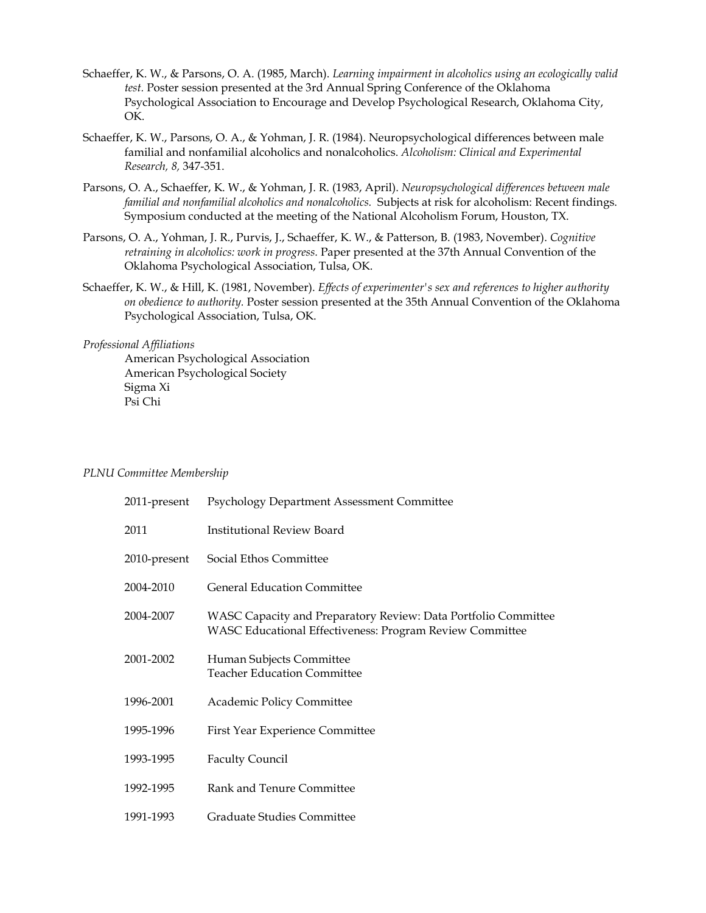- Schaeffer, K. W., & Parsons, O. A. (1985, March). *Learning impairment in alcoholics using an ecologically valid test.* Poster session presented at the 3rd Annual Spring Conference of the Oklahoma Psychological Association to Encourage and Develop Psychological Research, Oklahoma City, OK.
- Schaeffer, K. W., Parsons, O. A., & Yohman, J. R. (1984). Neuropsychological differences between male familial and nonfamilial alcoholics and nonalcoholics. *Alcoholism: Clinical and Experimental Research, 8,* 347-351.
- Parsons, O. A., Schaeffer, K. W., & Yohman, J. R. (1983, April). *Neuropsychological differences between male familial and nonfamilial alcoholics and nonalcoholics.* Subjects at risk for alcoholism: Recent findings. Symposium conducted at the meeting of the National Alcoholism Forum, Houston, TX.
- Parsons, O. A., Yohman, J. R., Purvis, J., Schaeffer, K. W., & Patterson, B. (1983, November). *Cognitive retraining in alcoholics: work in progress.* Paper presented at the 37th Annual Convention of the Oklahoma Psychological Association, Tulsa, OK.
- Schaeffer, K. W., & Hill, K. (1981, November). *Effects of experimenter's sex and references to higher authority on obedience to authority.* Poster session presented at the 35th Annual Convention of the Oklahoma Psychological Association, Tulsa, OK.

#### *Professional Affiliations*

American Psychological Association American Psychological Society Sigma Xi Psi Chi

#### *PLNU Committee Membership*

| 2011-present | Psychology Department Assessment Committee                                                                                        |
|--------------|-----------------------------------------------------------------------------------------------------------------------------------|
| 2011         | <b>Institutional Review Board</b>                                                                                                 |
| 2010-present | Social Ethos Committee                                                                                                            |
| 2004-2010    | <b>General Education Committee</b>                                                                                                |
| 2004-2007    | WASC Capacity and Preparatory Review: Data Portfolio Committee<br><b>WASC Educational Effectiveness: Program Review Committee</b> |
| 2001-2002    | Human Subjects Committee<br><b>Teacher Education Committee</b>                                                                    |
| 1996-2001    | Academic Policy Committee                                                                                                         |
| 1995-1996    | First Year Experience Committee                                                                                                   |
| 1993-1995    | <b>Faculty Council</b>                                                                                                            |
| 1992-1995    | Rank and Tenure Committee                                                                                                         |
| 1991-1993    | Graduate Studies Committee                                                                                                        |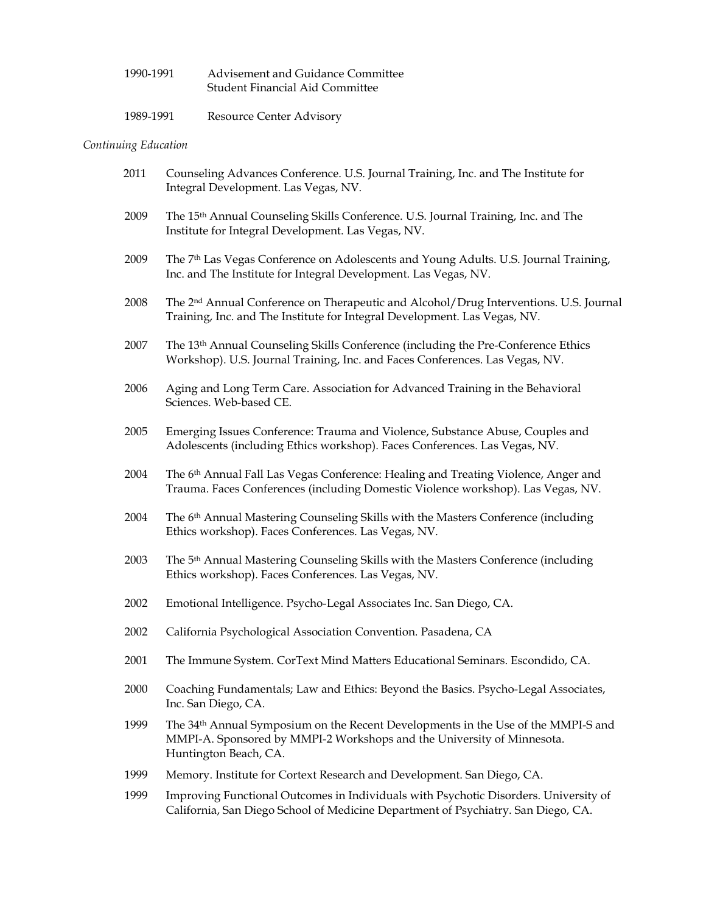| 1990-1991 | Advisement and Guidance Committee      |
|-----------|----------------------------------------|
|           | <b>Student Financial Aid Committee</b> |

| 1989-1991 | <b>Resource Center Advisory</b> |
|-----------|---------------------------------|
|           |                                 |

# *Continuing Education*

| 2011 | Counseling Advances Conference. U.S. Journal Training, Inc. and The Institute for<br>Integral Development. Las Vegas, NV.                                                                        |
|------|--------------------------------------------------------------------------------------------------------------------------------------------------------------------------------------------------|
| 2009 | The 15th Annual Counseling Skills Conference. U.S. Journal Training, Inc. and The<br>Institute for Integral Development. Las Vegas, NV.                                                          |
| 2009 | The 7 <sup>th</sup> Las Vegas Conference on Adolescents and Young Adults. U.S. Journal Training,<br>Inc. and The Institute for Integral Development. Las Vegas, NV.                              |
| 2008 | The 2 <sup>nd</sup> Annual Conference on Therapeutic and Alcohol/Drug Interventions. U.S. Journal<br>Training, Inc. and The Institute for Integral Development. Las Vegas, NV.                   |
| 2007 | The 13th Annual Counseling Skills Conference (including the Pre-Conference Ethics<br>Workshop). U.S. Journal Training, Inc. and Faces Conferences. Las Vegas, NV.                                |
| 2006 | Aging and Long Term Care. Association for Advanced Training in the Behavioral<br>Sciences. Web-based CE.                                                                                         |
| 2005 | Emerging Issues Conference: Trauma and Violence, Substance Abuse, Couples and<br>Adolescents (including Ethics workshop). Faces Conferences. Las Vegas, NV.                                      |
| 2004 | The 6 <sup>th</sup> Annual Fall Las Vegas Conference: Healing and Treating Violence, Anger and<br>Trauma. Faces Conferences (including Domestic Violence workshop). Las Vegas, NV.               |
| 2004 | The 6 <sup>th</sup> Annual Mastering Counseling Skills with the Masters Conference (including<br>Ethics workshop). Faces Conferences. Las Vegas, NV.                                             |
| 2003 | The 5 <sup>th</sup> Annual Mastering Counseling Skills with the Masters Conference (including<br>Ethics workshop). Faces Conferences. Las Vegas, NV.                                             |
| 2002 | Emotional Intelligence. Psycho-Legal Associates Inc. San Diego, CA.                                                                                                                              |
| 2002 | California Psychological Association Convention. Pasadena, CA                                                                                                                                    |
| 2001 | The Immune System. CorText Mind Matters Educational Seminars. Escondido, CA.                                                                                                                     |
| 2000 | Coaching Fundamentals; Law and Ethics: Beyond the Basics. Psycho-Legal Associates,<br>Inc. San Diego, CA.                                                                                        |
| 1999 | The 34 <sup>th</sup> Annual Symposium on the Recent Developments in the Use of the MMPI-S and<br>MMPI-A. Sponsored by MMPI-2 Workshops and the University of Minnesota.<br>Huntington Beach, CA. |
| 1999 | Memory. Institute for Cortext Research and Development. San Diego, CA.                                                                                                                           |
| 1999 | Improving Functional Outcomes in Individuals with Psychotic Disorders. University of<br>California, San Diego School of Medicine Department of Psychiatry. San Diego, CA.                        |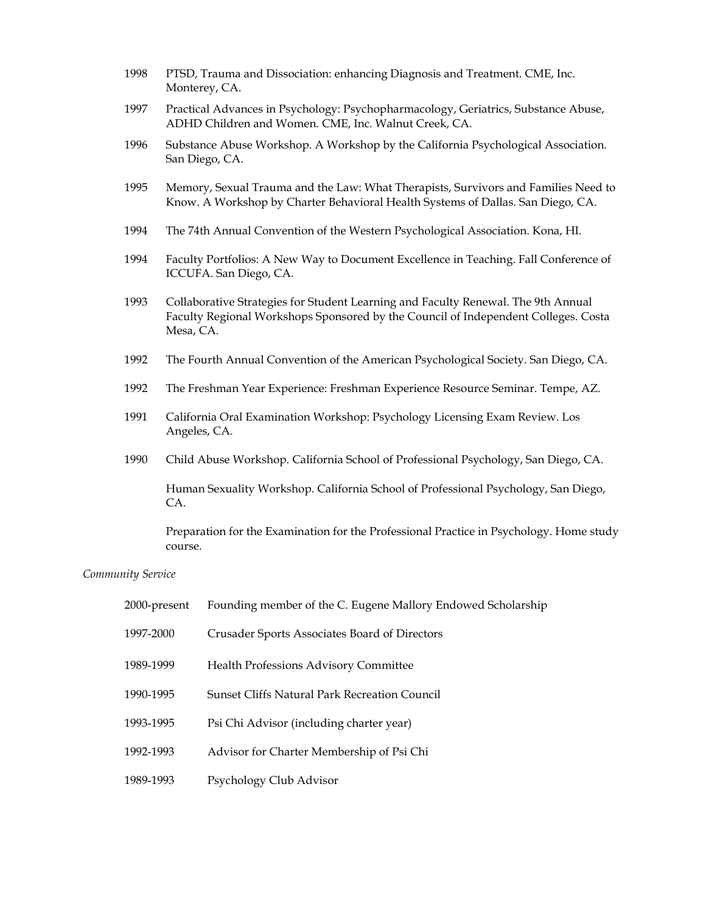- 1998 PTSD, Trauma and Dissociation: enhancing Diagnosis and Treatment. CME, Inc. Monterey, CA.
- 1997 Practical Advances in Psychology: Psychopharmacology, Geriatrics, Substance Abuse, ADHD Children and Women. CME, Inc. Walnut Creek, CA.
- 1996 Substance Abuse Workshop. A Workshop by the California Psychological Association. San Diego, CA.
- 1995 Memory, Sexual Trauma and the Law: What Therapists, Survivors and Families Need to Know. A Workshop by Charter Behavioral Health Systems of Dallas. San Diego, CA.
- 1994 The 74th Annual Convention of the Western Psychological Association. Kona, HI.
- 1994 Faculty Portfolios: A New Way to Document Excellence in Teaching. Fall Conference of ICCUFA. San Diego, CA.
- 1993 Collaborative Strategies for Student Learning and Faculty Renewal. The 9th Annual Faculty Regional Workshops Sponsored by the Council of Independent Colleges. Costa Mesa, CA.
- 1992 The Fourth Annual Convention of the American Psychological Society. San Diego, CA.
- 1992 The Freshman Year Experience: Freshman Experience Resource Seminar. Tempe, AZ.
- 1991 California Oral Examination Workshop: Psychology Licensing Exam Review. Los Angeles, CA.
- 1990 Child Abuse Workshop. California School of Professional Psychology, San Diego, CA.

Human Sexuality Workshop. California School of Professional Psychology, San Diego, CA.

Preparation for the Examination for the Professional Practice in Psychology. Home study course.

#### *Community Service*

| 2000-present | Founding member of the C. Eugene Mallory Endowed Scholarship |
|--------------|--------------------------------------------------------------|
| 1997-2000    | Crusader Sports Associates Board of Directors                |
| 1989-1999    | <b>Health Professions Advisory Committee</b>                 |
| 1990-1995    | <b>Sunset Cliffs Natural Park Recreation Council</b>         |
| 1993-1995    | Psi Chi Advisor (including charter year)                     |
| 1992-1993    | Advisor for Charter Membership of Psi Chi                    |
| 1989-1993    | Psychology Club Advisor                                      |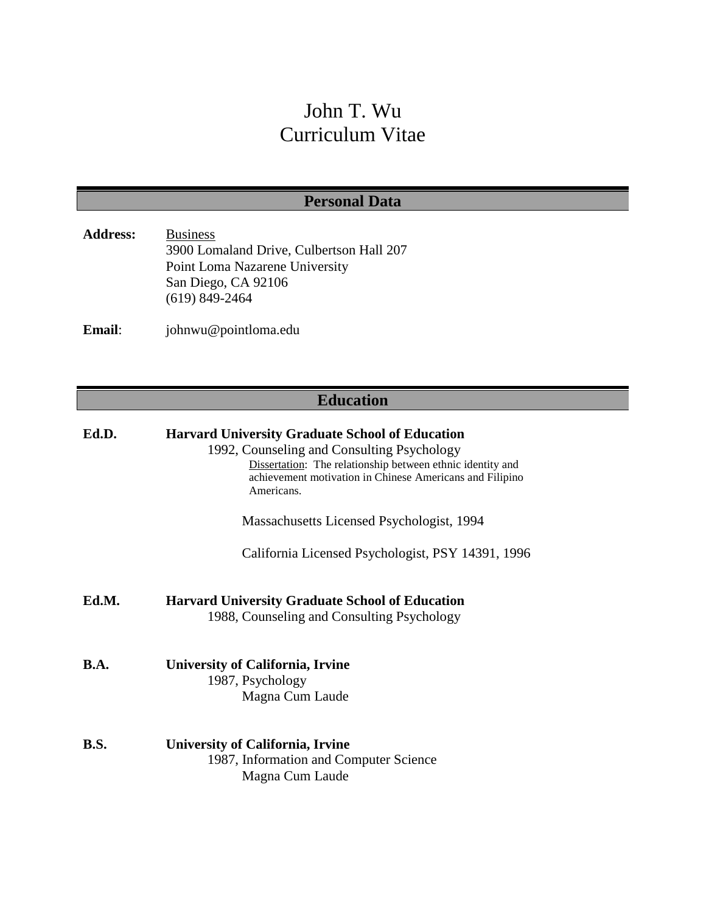# John T. Wu Curriculum Vitae

# **Personal Data**

| <b>Address:</b> | <b>Business</b>                          |
|-----------------|------------------------------------------|
|                 | 3900 Lomaland Drive, Culbertson Hall 207 |
|                 | Point Loma Nazarene University           |
|                 | San Diego, CA 92106                      |
|                 | $(619)$ 849-2464                         |
|                 |                                          |

**Email**: johnwu@pointloma.edu

# **Education**

| Ed.D.       | <b>Harvard University Graduate School of Education</b><br>1992, Counseling and Consulting Psychology<br>Dissertation: The relationship between ethnic identity and<br>achievement motivation in Chinese Americans and Filipino<br>Americans. |
|-------------|----------------------------------------------------------------------------------------------------------------------------------------------------------------------------------------------------------------------------------------------|
|             | Massachusetts Licensed Psychologist, 1994                                                                                                                                                                                                    |
|             | California Licensed Psychologist, PSY 14391, 1996                                                                                                                                                                                            |
| Ed.M.       | <b>Harvard University Graduate School of Education</b><br>1988, Counseling and Consulting Psychology                                                                                                                                         |
| <b>B.A.</b> | University of California, Irvine<br>1987, Psychology<br>Magna Cum Laude                                                                                                                                                                      |
| <b>B.S.</b> | <b>University of California, Irvine</b><br>1987, Information and Computer Science<br>Magna Cum Laude                                                                                                                                         |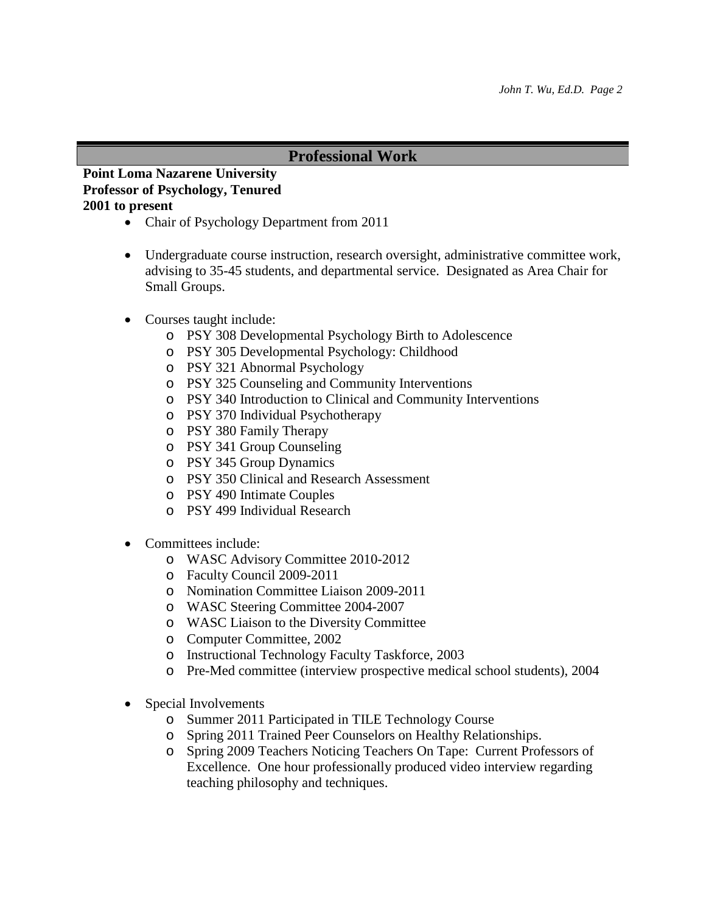## **Professional Work**

## **Point Loma Nazarene University Professor of Psychology, Tenured 2001 to present**

- Chair of Psychology Department from 2011
- Undergraduate course instruction, research oversight, administrative committee work, advising to 35-45 students, and departmental service. Designated as Area Chair for Small Groups.
- Courses taught include:
	- o PSY 308 Developmental Psychology Birth to Adolescence
	- o PSY 305 Developmental Psychology: Childhood
	- o PSY 321 Abnormal Psychology
	- o PSY 325 Counseling and Community Interventions
	- o PSY 340 Introduction to Clinical and Community Interventions
	- o PSY 370 Individual Psychotherapy
	- o PSY 380 Family Therapy
	- o PSY 341 Group Counseling
	- o PSY 345 Group Dynamics
	- o PSY 350 Clinical and Research Assessment
	- o PSY 490 Intimate Couples
	- o PSY 499 Individual Research
- Committees include:
	- o WASC Advisory Committee 2010-2012
	- o Faculty Council 2009-2011
	- o Nomination Committee Liaison 2009-2011
	- o WASC Steering Committee 2004-2007
	- o WASC Liaison to the Diversity Committee
	- o Computer Committee, 2002
	- o Instructional Technology Faculty Taskforce, 2003
	- o Pre-Med committee (interview prospective medical school students), 2004
- Special Involvements
	- o Summer 2011 Participated in TILE Technology Course
	- o Spring 2011 Trained Peer Counselors on Healthy Relationships.
	- o Spring 2009 Teachers Noticing Teachers On Tape: Current Professors of Excellence. One hour professionally produced video interview regarding teaching philosophy and techniques.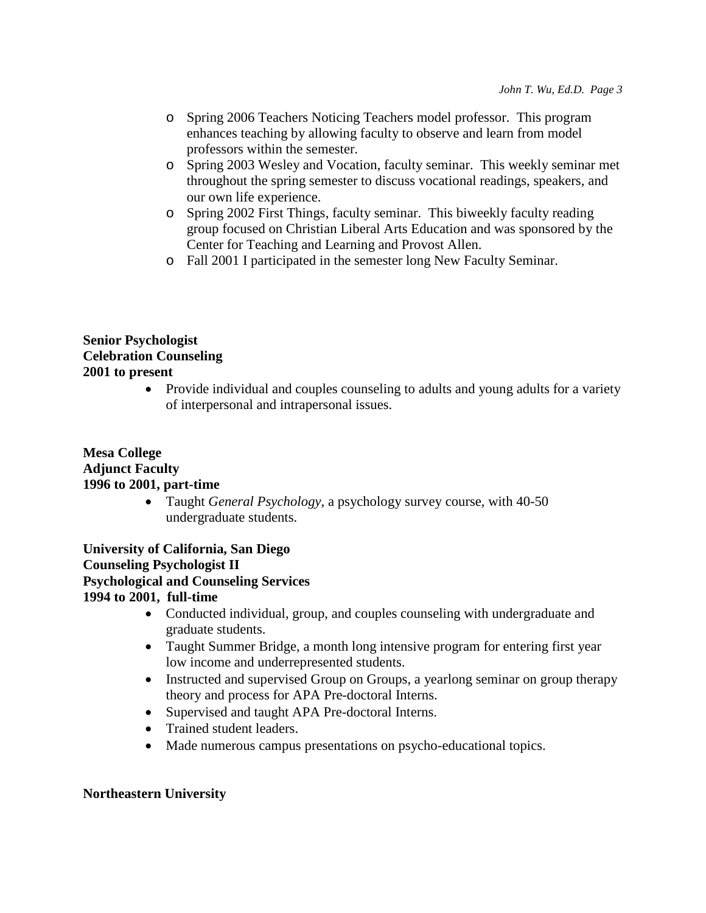- o Spring 2006 Teachers Noticing Teachers model professor. This program enhances teaching by allowing faculty to observe and learn from model professors within the semester.
- o Spring 2003 Wesley and Vocation, faculty seminar. This weekly seminar met throughout the spring semester to discuss vocational readings, speakers, and our own life experience.
- o Spring 2002 First Things, faculty seminar. This biweekly faculty reading group focused on Christian Liberal Arts Education and was sponsored by the Center for Teaching and Learning and Provost Allen.
- o Fall 2001 I participated in the semester long New Faculty Seminar.

## **Senior Psychologist Celebration Counseling 2001 to present**

• Provide individual and couples counseling to adults and young adults for a variety of interpersonal and intrapersonal issues.

## **Mesa College Adjunct Faculty 1996 to 2001, part-time**

• Taught *General Psychology*, a psychology survey course, with 40-50 undergraduate students.

**University of California, San Diego Counseling Psychologist II Psychological and Counseling Services 1994 to 2001, full-time**

- Conducted individual, group, and couples counseling with undergraduate and graduate students.
- Taught Summer Bridge, a month long intensive program for entering first year low income and underrepresented students.
- Instructed and supervised Group on Groups, a yearlong seminar on group therapy theory and process for APA Pre-doctoral Interns.
- Supervised and taught APA Pre-doctoral Interns.
- Trained student leaders.
- Made numerous campus presentations on psycho-educational topics.

## **Northeastern University**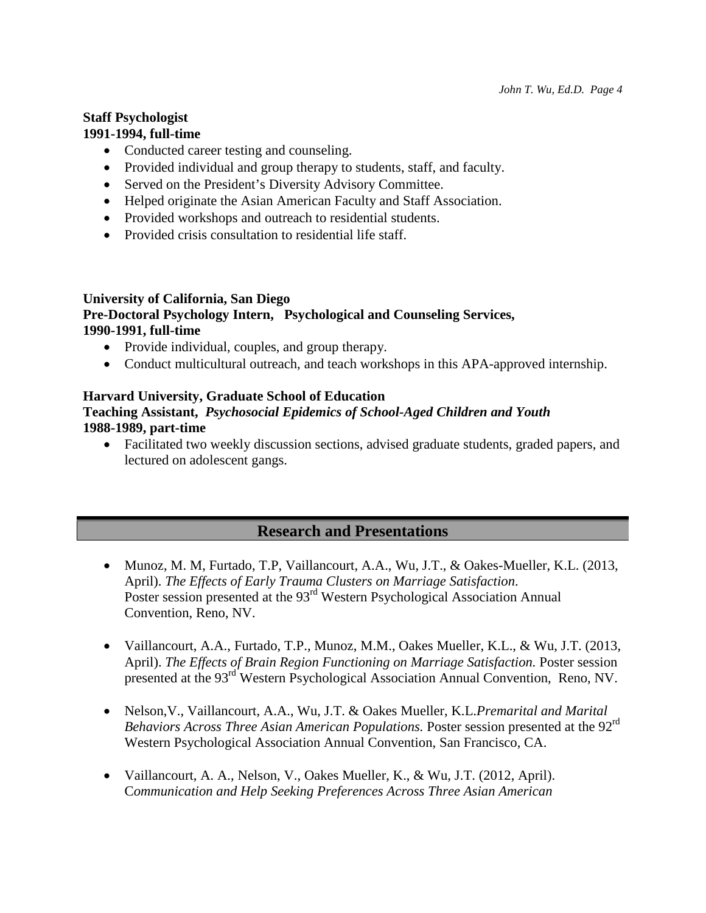## **Staff Psychologist 1991-1994, full-time**

- Conducted career testing and counseling.
- Provided individual and group therapy to students, staff, and faculty.
- Served on the President's Diversity Advisory Committee.
- Helped originate the Asian American Faculty and Staff Association.
- Provided workshops and outreach to residential students.
- Provided crisis consultation to residential life staff.

## **University of California, San Diego**

# **Pre-Doctoral Psychology Intern, Psychological and Counseling Services, 1990-1991, full-time**

- Provide individual, couples, and group therapy.
- Conduct multicultural outreach, and teach workshops in this APA-approved internship.

# **Harvard University, Graduate School of Education**

## **Teaching Assistant,** *Psychosocial Epidemics of School-Aged Children and Youth* **1988-1989, part-time**

• Facilitated two weekly discussion sections, advised graduate students, graded papers, and lectured on adolescent gangs.

# **Research and Presentations**

- Munoz, M. M, Furtado, T.P, Vaillancourt, A.A., Wu, J.T., & Oakes-Mueller, K.L. (2013, April). *The Effects of Early Trauma Clusters on Marriage Satisfaction*. Poster session presented at the 93<sup>rd</sup> Western Psychological Association Annual Convention, Reno, NV.
- Vaillancourt, A.A., Furtado, T.P., Munoz, M.M., Oakes Mueller, K.L., & Wu, J.T. (2013, April). *The Effects of Brain Region Functioning on Marriage Satisfaction.* Poster session presented at the 93rd Western Psychological Association Annual Convention, Reno, NV.
- Nelson,V., Vaillancourt, A.A., Wu, J.T. & Oakes Mueller, K.L.*Premarital and Marital Behaviors Across Three Asian American Populations.* Poster session presented at the 92rd Western Psychological Association Annual Convention, San Francisco, CA.
- Vaillancourt, A. A., Nelson, V., Oakes Mueller, K., & Wu, J.T. (2012, April). C*ommunication and Help Seeking Preferences Across Three Asian American*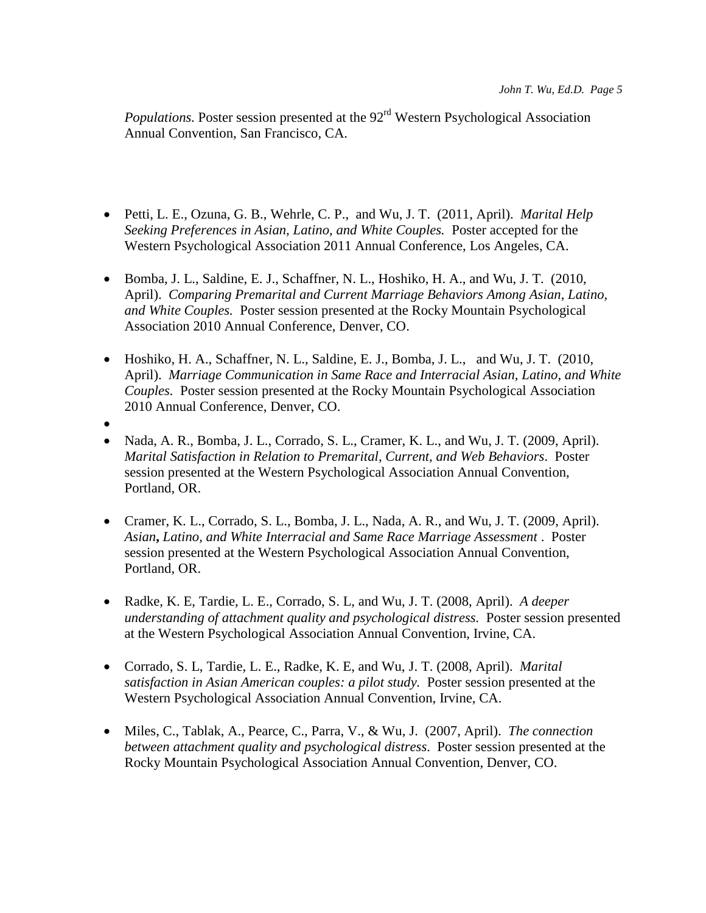*Populations.* Poster session presented at the 92<sup>rd</sup> Western Psychological Association Annual Convention, San Francisco, CA.

- Petti, L. E., Ozuna, G. B., Wehrle, C. P., and Wu, J. T. (2011, April). *Marital Help Seeking Preferences in Asian, Latino, and White Couples.* Poster accepted for the Western Psychological Association 2011 Annual Conference, Los Angeles, CA.
- Bomba, J. L., Saldine, E. J., Schaffner, N. L., Hoshiko, H. A., and Wu, J. T. (2010, April). *Comparing Premarital and Current Marriage Behaviors Among Asian, Latino, and White Couples.* Poster session presented at the Rocky Mountain Psychological Association 2010 Annual Conference, Denver, CO.
- Hoshiko, H. A., Schaffner, N. L., Saldine, E. J., Bomba, J. L., and Wu, J. T. (2010, April). *Marriage Communication in Same Race and Interracial Asian, Latino, and White Couples.* Poster session presented at the Rocky Mountain Psychological Association 2010 Annual Conference, Denver, CO.
- •
- Nada, A. R., Bomba, J. L., Corrado, S. L., Cramer, K. L., and Wu, J. T. (2009, April). *Marital Satisfaction in Relation to Premarital, Current, and Web Behaviors*. Poster session presented at the Western Psychological Association Annual Convention, Portland, OR.
- Cramer, K. L., Corrado, S. L., Bomba, J. L., Nada, A. R., and Wu, J. T. (2009, April). *Asian***,** *Latino, and White Interracial and Same Race Marriage Assessment* . Poster session presented at the Western Psychological Association Annual Convention, Portland, OR.
- Radke, K. E, Tardie, L. E., Corrado, S. L, and Wu, J. T. (2008, April). *A deeper understanding of attachment quality and psychological distress.* Poster session presented at the Western Psychological Association Annual Convention, Irvine, CA.
- Corrado, S. L, Tardie, L. E., Radke, K. E, and Wu, J. T. (2008, April). *Marital satisfaction in Asian American couples: a pilot study.* Poster session presented at the Western Psychological Association Annual Convention, Irvine, CA.
- Miles, C., Tablak, A., Pearce, C., Parra, V., & Wu, J. (2007, April). *The connection between attachment quality and psychological distress*. Poster session presented at the Rocky Mountain Psychological Association Annual Convention, Denver, CO.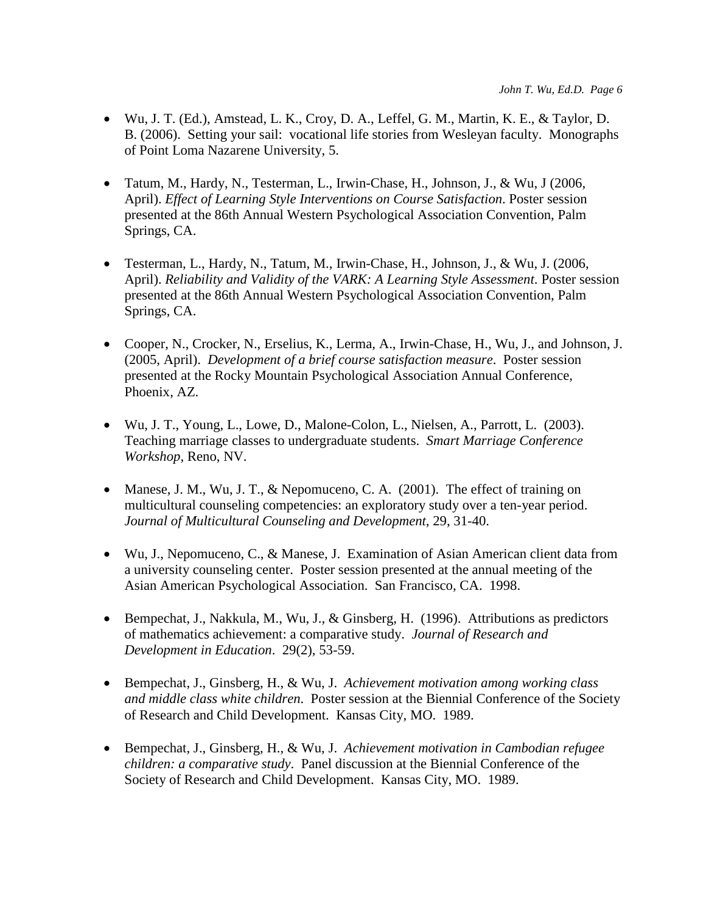- Wu, J. T. (Ed.), Amstead, L. K., Croy, D. A., Leffel, G. M., Martin, K. E., & Taylor, D. B. (2006). Setting your sail: vocational life stories from Wesleyan faculty. Monographs of Point Loma Nazarene University, 5.
- Tatum, M., Hardy, N., Testerman, L., Irwin-Chase, H., Johnson, J., & Wu, J (2006, April). *Effect of Learning Style Interventions on Course Satisfaction*. Poster session presented at the 86th Annual Western Psychological Association Convention, Palm Springs, CA.
- Testerman, L., Hardy, N., Tatum, M., Irwin-Chase, H., Johnson, J., & Wu, J. (2006, April). *Reliability and Validity of the VARK: A Learning Style Assessment*. Poster session presented at the 86th Annual Western Psychological Association Convention, Palm Springs, CA.
- Cooper, N., Crocker, N., Erselius, K., Lerma, A., Irwin-Chase, H., Wu, J., and Johnson, J. (2005, April). *Development of a brief course satisfaction measure*. Poster session presented at the Rocky Mountain Psychological Association Annual Conference, Phoenix, AZ.
- Wu, J. T., Young, L., Lowe, D., Malone-Colon, L., Nielsen, A., Parrott, L. (2003). Teaching marriage classes to undergraduate students. *Smart Marriage Conference Workshop*, Reno, NV.
- Manese, J. M., Wu, J. T., & Nepomuceno, C. A. (2001). The effect of training on multicultural counseling competencies: an exploratory study over a ten-year period. *Journal of Multicultural Counseling and Development*, 29, 31-40.
- Wu, J., Nepomuceno, C., & Manese, J. Examination of Asian American client data from a university counseling center. Poster session presented at the annual meeting of the Asian American Psychological Association. San Francisco, CA. 1998.
- Bempechat, J., Nakkula, M., Wu, J., & Ginsberg, H. (1996). Attributions as predictors of mathematics achievement: a comparative study. *Journal of Research and Development in Education*. 29(2), 53-59.
- Bempechat, J., Ginsberg, H., & Wu, J. *Achievement motivation among working class and middle class white children*. Poster session at the Biennial Conference of the Society of Research and Child Development. Kansas City, MO. 1989.
- Bempechat, J., Ginsberg, H., & Wu, J. *Achievement motivation in Cambodian refugee children: a comparative study*. Panel discussion at the Biennial Conference of the Society of Research and Child Development. Kansas City, MO. 1989.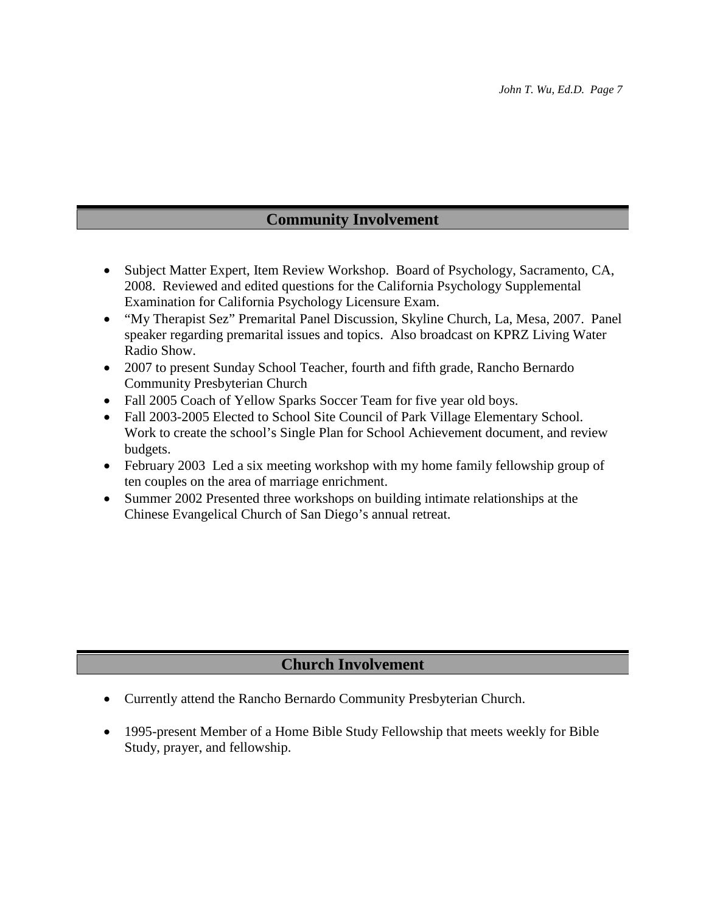# **Community Involvement**

- Subject Matter Expert, Item Review Workshop. Board of Psychology, Sacramento, CA, 2008. Reviewed and edited questions for the California Psychology Supplemental Examination for California Psychology Licensure Exam.
- "My Therapist Sez" Premarital Panel Discussion, Skyline Church, La, Mesa, 2007. Panel speaker regarding premarital issues and topics. Also broadcast on KPRZ Living Water Radio Show.
- 2007 to present Sunday School Teacher, fourth and fifth grade, Rancho Bernardo Community Presbyterian Church
- Fall 2005 Coach of Yellow Sparks Soccer Team for five year old boys.
- Fall 2003-2005 Elected to School Site Council of Park Village Elementary School. Work to create the school's Single Plan for School Achievement document, and review budgets.
- February 2003 Led a six meeting workshop with my home family fellowship group of ten couples on the area of marriage enrichment.
- Summer 2002 Presented three workshops on building intimate relationships at the Chinese Evangelical Church of San Diego's annual retreat.

# **Church Involvement**

- Currently attend the Rancho Bernardo Community Presbyterian Church.
- 1995-present Member of a Home Bible Study Fellowship that meets weekly for Bible Study, prayer, and fellowship.